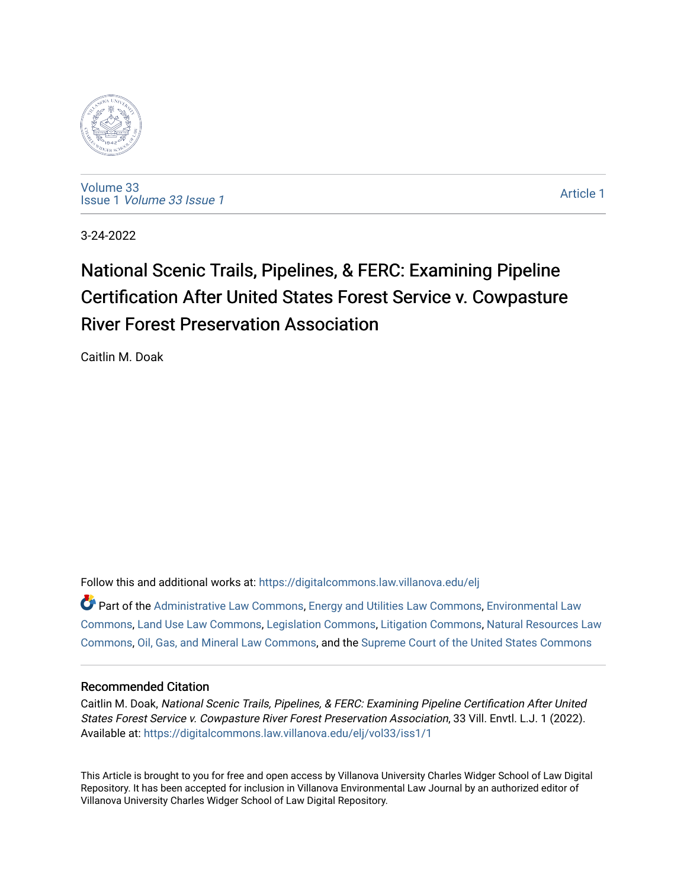

[Volume 33](https://digitalcommons.law.villanova.edu/elj/vol33) Issue 1 [Volume 33 Issue 1](https://digitalcommons.law.villanova.edu/elj/vol33/iss1) 

[Article 1](https://digitalcommons.law.villanova.edu/elj/vol33/iss1/1) 

3-24-2022

# National Scenic Trails, Pipelines, & FERC: Examining Pipeline Certification After United States Forest Service v. Cowpasture **River Forest Preservation Association**

Caitlin M. Doak

Follow this and additional works at: [https://digitalcommons.law.villanova.edu/elj](https://digitalcommons.law.villanova.edu/elj?utm_source=digitalcommons.law.villanova.edu%2Felj%2Fvol33%2Fiss1%2F1&utm_medium=PDF&utm_campaign=PDFCoverPages) 

 $\bullet$  Part of the [Administrative Law Commons,](http://network.bepress.com/hgg/discipline/579?utm_source=digitalcommons.law.villanova.edu%2Felj%2Fvol33%2Fiss1%2F1&utm_medium=PDF&utm_campaign=PDFCoverPages) [Energy and Utilities Law Commons](http://network.bepress.com/hgg/discipline/891?utm_source=digitalcommons.law.villanova.edu%2Felj%2Fvol33%2Fiss1%2F1&utm_medium=PDF&utm_campaign=PDFCoverPages), [Environmental Law](http://network.bepress.com/hgg/discipline/599?utm_source=digitalcommons.law.villanova.edu%2Felj%2Fvol33%2Fiss1%2F1&utm_medium=PDF&utm_campaign=PDFCoverPages) [Commons](http://network.bepress.com/hgg/discipline/599?utm_source=digitalcommons.law.villanova.edu%2Felj%2Fvol33%2Fiss1%2F1&utm_medium=PDF&utm_campaign=PDFCoverPages), [Land Use Law Commons](http://network.bepress.com/hgg/discipline/852?utm_source=digitalcommons.law.villanova.edu%2Felj%2Fvol33%2Fiss1%2F1&utm_medium=PDF&utm_campaign=PDFCoverPages), [Legislation Commons](http://network.bepress.com/hgg/discipline/859?utm_source=digitalcommons.law.villanova.edu%2Felj%2Fvol33%2Fiss1%2F1&utm_medium=PDF&utm_campaign=PDFCoverPages), [Litigation Commons,](http://network.bepress.com/hgg/discipline/910?utm_source=digitalcommons.law.villanova.edu%2Felj%2Fvol33%2Fiss1%2F1&utm_medium=PDF&utm_campaign=PDFCoverPages) [Natural Resources Law](http://network.bepress.com/hgg/discipline/863?utm_source=digitalcommons.law.villanova.edu%2Felj%2Fvol33%2Fiss1%2F1&utm_medium=PDF&utm_campaign=PDFCoverPages) [Commons](http://network.bepress.com/hgg/discipline/863?utm_source=digitalcommons.law.villanova.edu%2Felj%2Fvol33%2Fiss1%2F1&utm_medium=PDF&utm_campaign=PDFCoverPages), [Oil, Gas, and Mineral Law Commons](http://network.bepress.com/hgg/discipline/864?utm_source=digitalcommons.law.villanova.edu%2Felj%2Fvol33%2Fiss1%2F1&utm_medium=PDF&utm_campaign=PDFCoverPages), and the [Supreme Court of the United States Commons](http://network.bepress.com/hgg/discipline/1350?utm_source=digitalcommons.law.villanova.edu%2Felj%2Fvol33%2Fiss1%2F1&utm_medium=PDF&utm_campaign=PDFCoverPages) 

# Recommended Citation

Caitlin M. Doak, National Scenic Trails, Pipelines, & FERC: Examining Pipeline Certification After United States Forest Service v. Cowpasture River Forest Preservation Association, 33 Vill. Envtl. L.J. 1 (2022). Available at: [https://digitalcommons.law.villanova.edu/elj/vol33/iss1/1](https://digitalcommons.law.villanova.edu/elj/vol33/iss1/1?utm_source=digitalcommons.law.villanova.edu%2Felj%2Fvol33%2Fiss1%2F1&utm_medium=PDF&utm_campaign=PDFCoverPages)

This Article is brought to you for free and open access by Villanova University Charles Widger School of Law Digital Repository. It has been accepted for inclusion in Villanova Environmental Law Journal by an authorized editor of Villanova University Charles Widger School of Law Digital Repository.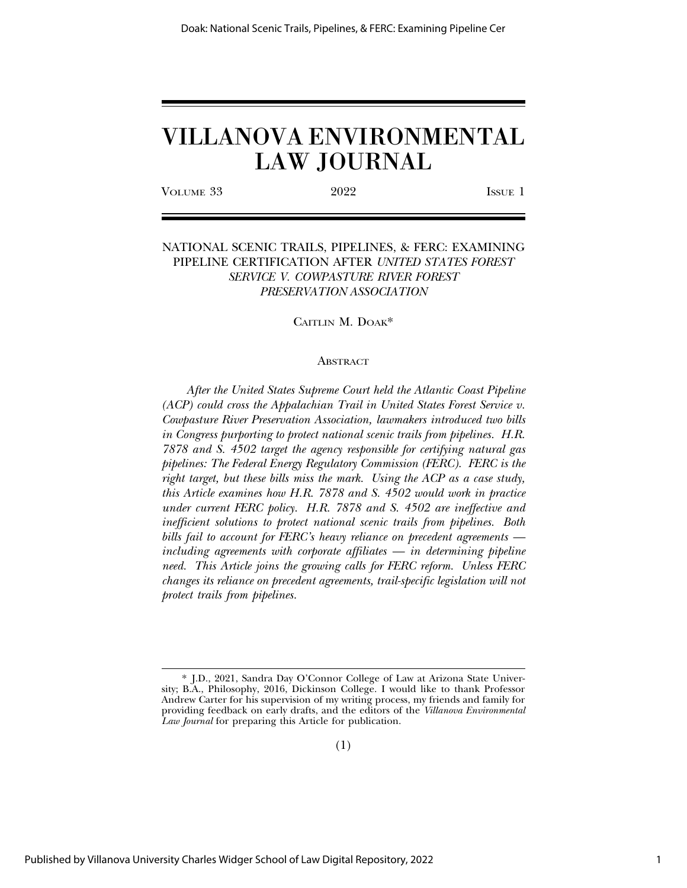VOLUME 33 2022 ISSUE 1

# NATIONAL SCENIC TRAILS, PIPELINES, & FERC: EXAMINING PIPELINE CERTIFICATION AFTER *UNITED STATES FOREST SERVICE V. COWPASTURE RIVER FOREST PRESERVATION ASSOCIATION*

# CAITLIN M. DOAK\*

#### ABSTRACT

*After the United States Supreme Court held the Atlantic Coast Pipeline (ACP) could cross the Appalachian Trail in United States Forest Service v. Cowpasture River Preservation Association, lawmakers introduced two bills in Congress purporting to protect national scenic trails from pipelines. H.R. 7878 and S. 4502 target the agency responsible for certifying natural gas pipelines: The Federal Energy Regulatory Commission (FERC). FERC is the right target, but these bills miss the mark. Using the ACP as a case study, this Article examines how H.R. 7878 and S. 4502 would work in practice under current FERC policy. H.R. 7878 and S. 4502 are ineffective and inefficient solutions to protect national scenic trails from pipelines. Both bills fail to account for FERC's heavy reliance on precedent agreements including agreements with corporate affiliates — in determining pipeline need. This Article joins the growing calls for FERC reform. Unless FERC changes its reliance on precedent agreements, trail-specific legislation will not protect trails from pipelines.*

<sup>\*</sup> J.D., 2021, Sandra Day O'Connor College of Law at Arizona State University; B.A., Philosophy, 2016, Dickinson College. I would like to thank Professor Andrew Carter for his supervision of my writing process, my friends and family for providing feedback on early drafts, and the editors of the *Villanova Environmental Law Journal* for preparing this Article for publication.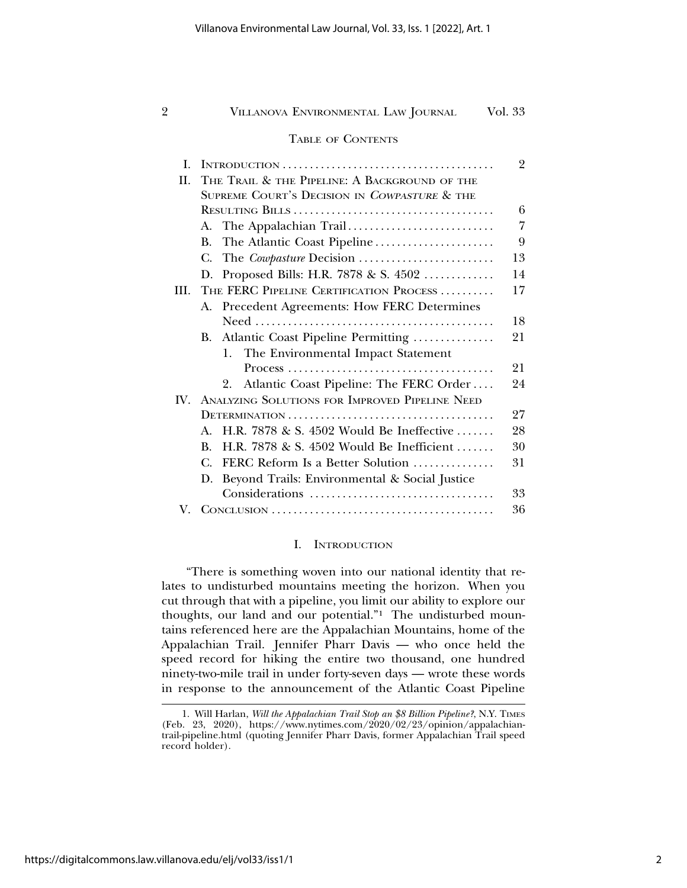#### TABLE OF CONTENTS

| L           |                                                          | $\overline{2}$ |
|-------------|----------------------------------------------------------|----------------|
| H.          | THE TRAIL & THE PIPELINE: A BACKGROUND OF THE            |                |
|             | SUPREME COURT'S DECISION IN COWPASTURE & THE             |                |
|             |                                                          | 6              |
|             | The Appalachian Trail<br>А.                              | 7              |
|             | The Atlantic Coast Pipeline<br>B.                        | 9              |
|             | The Cowpasture Decision<br>С.                            | 13             |
|             | Proposed Bills: H.R. 7878 & S. 4502<br>D.                | 14             |
| HL.         | THE FERC PIPELINE CERTIFICATION PROCESS                  | 17             |
|             | Precedent Agreements: How FERC Determines<br>А.          |                |
|             |                                                          | 18             |
|             | Atlantic Coast Pipeline Permitting<br><b>B.</b>          | 21             |
|             | The Environmental Impact Statement<br>1.                 |                |
|             |                                                          | 21             |
|             | Atlantic Coast Pipeline: The FERC Order<br>2.            | 24             |
| $W_{\cdot}$ | ANALYZING SOLUTIONS FOR IMPROVED PIPELINE NEED           |                |
|             |                                                          | 27             |
|             | H.R. 7878 & S. 4502 Would Be Ineffective<br>$\mathbf{A}$ | 28             |
|             | H.R. 7878 & S. 4502 Would Be Inefficient<br>B.           | 30             |
|             | C.<br>FERC Reform Is a Better Solution                   | 31             |
|             | Beyond Trails: Environmental & Social Justice<br>D.      |                |
|             | Considerations                                           | 33             |
| V           |                                                          | 36             |

# I. INTRODUCTION

"There is something woven into our national identity that relates to undisturbed mountains meeting the horizon. When you cut through that with a pipeline, you limit our ability to explore our thoughts, our land and our potential."1 The undisturbed mountains referenced here are the Appalachian Mountains, home of the Appalachian Trail. Jennifer Pharr Davis — who once held the speed record for hiking the entire two thousand, one hundred ninety-two-mile trail in under forty-seven days — wrote these words in response to the announcement of the Atlantic Coast Pipeline

<sup>1.</sup> Will Harlan, *Will the Appalachian Trail Stop an \$8 Billion Pipeline?*, N.Y. TIMES (Feb. 23, 2020), https://www.nytimes.com/2020/02/23/opinion/appalachiantrail-pipeline.html (quoting Jennifer Pharr Davis, former Appalachian Trail speed record holder).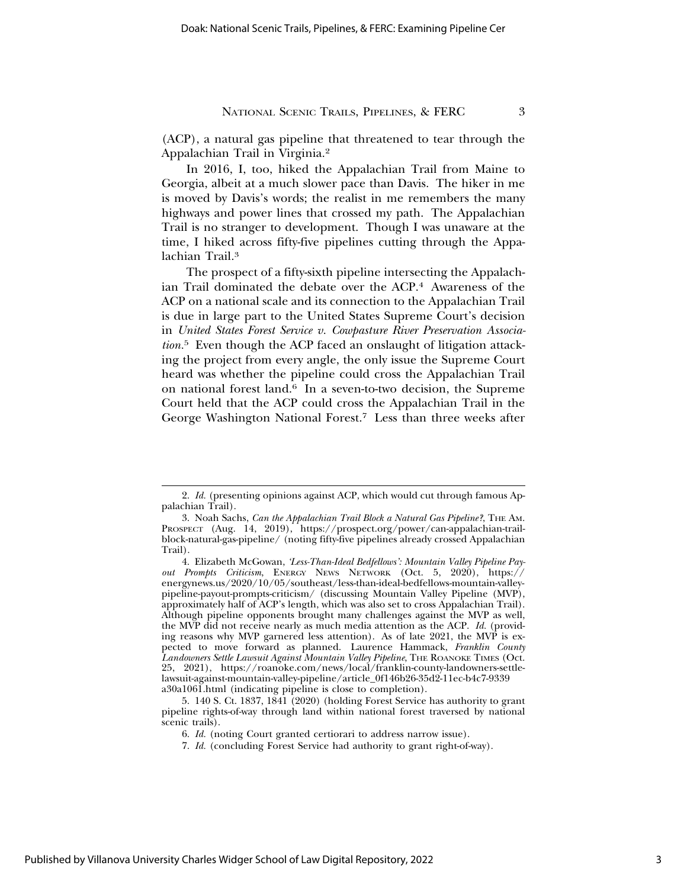(ACP), a natural gas pipeline that threatened to tear through the Appalachian Trail in Virginia.2

In 2016, I, too, hiked the Appalachian Trail from Maine to Georgia, albeit at a much slower pace than Davis. The hiker in me is moved by Davis's words; the realist in me remembers the many highways and power lines that crossed my path. The Appalachian Trail is no stranger to development. Though I was unaware at the time, I hiked across fifty-five pipelines cutting through the Appalachian Trail.<sup>3</sup>

The prospect of a fifty-sixth pipeline intersecting the Appalachian Trail dominated the debate over the ACP.<sup>4</sup> Awareness of the ACP on a national scale and its connection to the Appalachian Trail is due in large part to the United States Supreme Court's decision in *United States Forest Service v. Cowpasture River Preservation Association.*5 Even though the ACP faced an onslaught of litigation attacking the project from every angle, the only issue the Supreme Court heard was whether the pipeline could cross the Appalachian Trail on national forest land.6 In a seven-to-two decision, the Supreme Court held that the ACP could cross the Appalachian Trail in the George Washington National Forest.7 Less than three weeks after

<sup>2.</sup> *Id.* (presenting opinions against ACP, which would cut through famous Appalachian Trail).

<sup>3.</sup> Noah Sachs, *Can the Appalachian Trail Block a Natural Gas Pipeline?*, THE AM. PROSPECT (Aug. 14, 2019), https://prospect.org/power/can-appalachian-trailblock-natural-gas-pipeline/ (noting fifty-five pipelines already crossed Appalachian Trail).

<sup>4.</sup> Elizabeth McGowan, *'Less-Than-Ideal Bedfellows': Mountain Valley Pipeline Payout Prompts Criticism*, ENERGY NEWS NETWORK (Oct. 5, 2020), https:// energynews.us/2020/10/05/southeast/less-than-ideal-bedfellows-mountain-valleypipeline-payout-prompts-criticism/ (discussing Mountain Valley Pipeline (MVP), approximately half of ACP's length, which was also set to cross Appalachian Trail). Although pipeline opponents brought many challenges against the MVP as well, the MVP did not receive nearly as much media attention as the ACP. *Id.* (providing reasons why MVP garnered less attention). As of late 2021, the MVP is expected to move forward as planned. Laurence Hammack, *Franklin County Landowners Settle Lawsuit Against Mountain Valley Pipeline*, THE ROANOKE TIMES (Oct. 25, 2021), https://roanoke.com/news/local/franklin-county-landowners-settlelawsuit-against-mountain-valley-pipeline/article\_0f146b26-35d2-11ec-b4c7-9339 a30a1061.html (indicating pipeline is close to completion).

<sup>5. 140</sup> S. Ct. 1837, 1841 (2020) (holding Forest Service has authority to grant pipeline rights-of-way through land within national forest traversed by national scenic trails).

<sup>6.</sup> *Id.* (noting Court granted certiorari to address narrow issue).

<sup>7.</sup> *Id.* (concluding Forest Service had authority to grant right-of-way).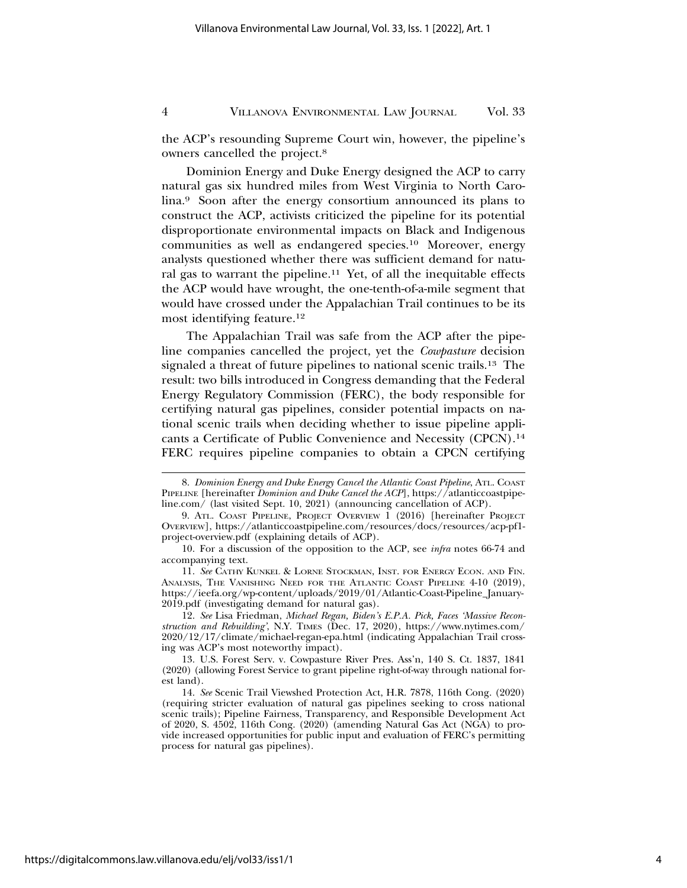the ACP's resounding Supreme Court win, however, the pipeline's owners cancelled the project.8

Dominion Energy and Duke Energy designed the ACP to carry natural gas six hundred miles from West Virginia to North Carolina.9 Soon after the energy consortium announced its plans to construct the ACP, activists criticized the pipeline for its potential disproportionate environmental impacts on Black and Indigenous communities as well as endangered species.10 Moreover, energy analysts questioned whether there was sufficient demand for natural gas to warrant the pipeline.<sup>11</sup> Yet, of all the inequitable effects the ACP would have wrought, the one-tenth-of-a-mile segment that would have crossed under the Appalachian Trail continues to be its most identifying feature.12

The Appalachian Trail was safe from the ACP after the pipeline companies cancelled the project, yet the *Cowpasture* decision signaled a threat of future pipelines to national scenic trails.13 The result: two bills introduced in Congress demanding that the Federal Energy Regulatory Commission (FERC), the body responsible for certifying natural gas pipelines, consider potential impacts on national scenic trails when deciding whether to issue pipeline applicants a Certificate of Public Convenience and Necessity (CPCN).14 FERC requires pipeline companies to obtain a CPCN certifying

<sup>8.</sup> *Dominion Energy and Duke Energy Cancel the Atlantic Coast Pipeline*, ATL. COAST PIPELINE [hereinafter *Dominion and Duke Cancel the ACP*], https://atlanticcoastpipeline.com/ (last visited Sept. 10, 2021) (announcing cancellation of ACP).

<sup>9.</sup> ATL. COAST PIPELINE, PROJECT OVERVIEW 1 (2016) [hereinafter PROJECT OVERVIEW], https://atlanticcoastpipeline.com/resources/docs/resources/acp-pf1 project-overview.pdf (explaining details of ACP).

<sup>10.</sup> For a discussion of the opposition to the ACP, see *infra* notes 66-74 and accompanying text.

<sup>11.</sup> *See* CATHY KUNKEL & LORNE STOCKMAN, INST. FOR ENERGY ECON. AND FIN. ANALYSIS, THE VANISHING NEED FOR THE ATLANTIC COAST PIPELINE 4-10 (2019), https://ieefa.org/wp-content/uploads/2019/01/Atlantic-Coast-Pipeline\_January-2019.pdf (investigating demand for natural gas).

<sup>12.</sup> *See* Lisa Friedman, *Michael Regan, Biden's E.P.A. Pick, Faces 'Massive Reconstruction and Rebuilding'*, N.Y. TIMES (Dec. 17, 2020), https://www.nytimes.com/ 2020/12/17/climate/michael-regan-epa.html (indicating Appalachian Trail crossing was ACP's most noteworthy impact).

<sup>13.</sup> U.S. Forest Serv. v. Cowpasture River Pres. Ass'n, 140 S. Ct. 1837, 1841 (2020) (allowing Forest Service to grant pipeline right-of-way through national forest land).

<sup>14.</sup> *See* Scenic Trail Viewshed Protection Act, H.R. 7878, 116th Cong. (2020) (requiring stricter evaluation of natural gas pipelines seeking to cross national scenic trails); Pipeline Fairness, Transparency, and Responsible Development Act of 2020, S. 4502, 116th Cong. (2020) (amending Natural Gas Act (NGA) to provide increased opportunities for public input and evaluation of FERC's permitting process for natural gas pipelines).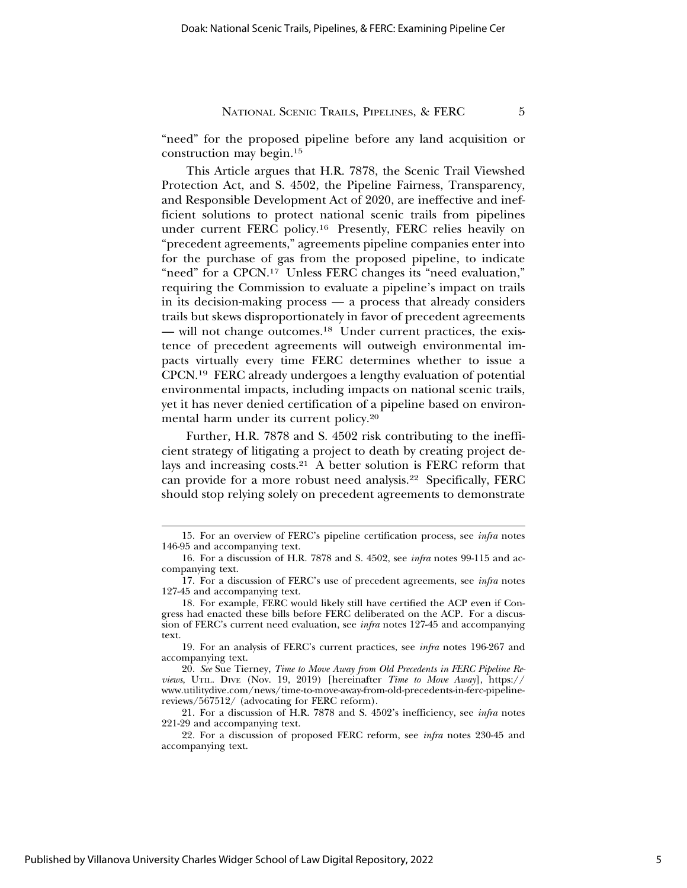"need" for the proposed pipeline before any land acquisition or construction may begin.15

This Article argues that H.R. 7878, the Scenic Trail Viewshed Protection Act, and S. 4502, the Pipeline Fairness, Transparency, and Responsible Development Act of 2020, are ineffective and inefficient solutions to protect national scenic trails from pipelines under current FERC policy.16 Presently, FERC relies heavily on "precedent agreements," agreements pipeline companies enter into for the purchase of gas from the proposed pipeline, to indicate "need" for a CPCN.17 Unless FERC changes its "need evaluation," requiring the Commission to evaluate a pipeline's impact on trails in its decision-making process — a process that already considers trails but skews disproportionately in favor of precedent agreements — will not change outcomes.18 Under current practices, the existence of precedent agreements will outweigh environmental impacts virtually every time FERC determines whether to issue a CPCN.19 FERC already undergoes a lengthy evaluation of potential environmental impacts, including impacts on national scenic trails, yet it has never denied certification of a pipeline based on environmental harm under its current policy.20

Further, H.R. 7878 and S. 4502 risk contributing to the inefficient strategy of litigating a project to death by creating project delays and increasing costs.21 A better solution is FERC reform that can provide for a more robust need analysis.22 Specifically, FERC should stop relying solely on precedent agreements to demonstrate

<sup>15.</sup> For an overview of FERC's pipeline certification process, see *infra* notes 146-95 and accompanying text.

<sup>16.</sup> For a discussion of H.R. 7878 and S. 4502, see *infra* notes 99-115 and accompanying text.

<sup>17.</sup> For a discussion of FERC's use of precedent agreements, see *infra* notes 127-45 and accompanying text.

<sup>18.</sup> For example, FERC would likely still have certified the ACP even if Congress had enacted these bills before FERC deliberated on the ACP. For a discussion of FERC's current need evaluation, see *infra* notes 127-45 and accompanying text.

<sup>19.</sup> For an analysis of FERC's current practices, see *infra* notes 196-267 and accompanying text.

<sup>20.</sup> *See* Sue Tierney, *Time to Move Away from Old Precedents in FERC Pipeline Reviews*, UTIL. DIVE (Nov. 19, 2019) [hereinafter *Time to Move Away*], https:// www.utilitydive.com/news/time-to-move-away-from-old-precedents-in-ferc-pipelinereviews/567512/ (advocating for FERC reform).

<sup>21.</sup> For a discussion of H.R. 7878 and S. 4502's inefficiency, see *infra* notes 221-29 and accompanying text.

<sup>22.</sup> For a discussion of proposed FERC reform, see *infra* notes 230-45 and accompanying text.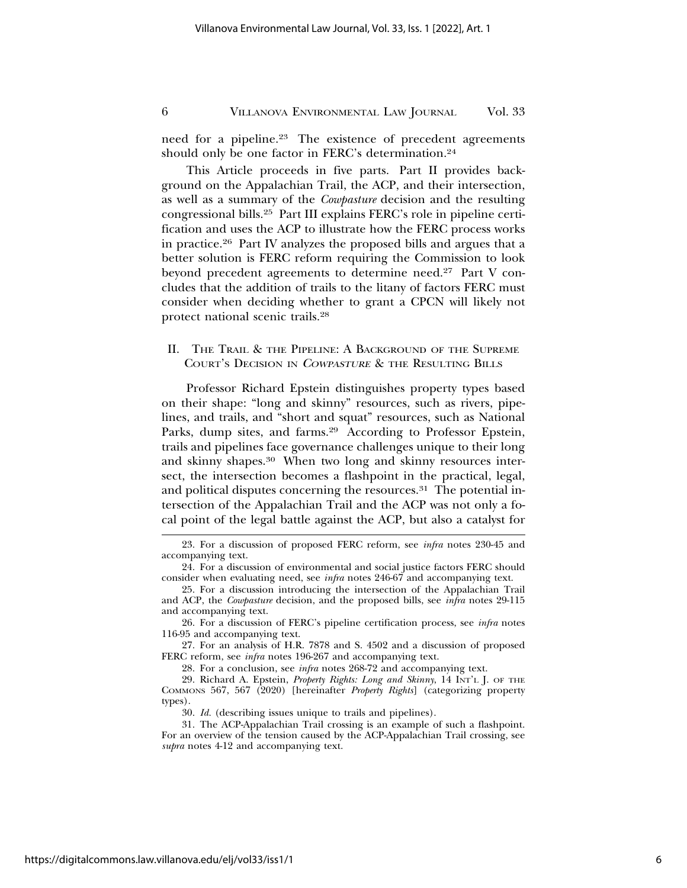need for a pipeline.<sup>23</sup> The existence of precedent agreements should only be one factor in FERC's determination.24

This Article proceeds in five parts. Part II provides background on the Appalachian Trail, the ACP, and their intersection, as well as a summary of the *Cowpasture* decision and the resulting congressional bills.25 Part III explains FERC's role in pipeline certification and uses the ACP to illustrate how the FERC process works in practice.26 Part IV analyzes the proposed bills and argues that a better solution is FERC reform requiring the Commission to look beyond precedent agreements to determine need.<sup>27</sup> Part V concludes that the addition of trails to the litany of factors FERC must consider when deciding whether to grant a CPCN will likely not protect national scenic trails.28

# II. THE TRAIL & THE PIPELINE: A BACKGROUND OF THE SUPREME COURT'S DECISION IN <sup>C</sup>OWPASTURE & THE RESULTING BILLS

Professor Richard Epstein distinguishes property types based on their shape: "long and skinny" resources, such as rivers, pipelines, and trails, and "short and squat" resources, such as National Parks, dump sites, and farms.<sup>29</sup> According to Professor Epstein, trails and pipelines face governance challenges unique to their long and skinny shapes.30 When two long and skinny resources intersect, the intersection becomes a flashpoint in the practical, legal, and political disputes concerning the resources.<sup>31</sup> The potential intersection of the Appalachian Trail and the ACP was not only a focal point of the legal battle against the ACP, but also a catalyst for

27. For an analysis of H.R. 7878 and S. 4502 and a discussion of proposed FERC reform, see *infra* notes 196-267 and accompanying text.

28. For a conclusion, see *infra* notes 268-72 and accompanying text.

30. *Id.* (describing issues unique to trails and pipelines).

<sup>23.</sup> For a discussion of proposed FERC reform, see *infra* notes 230-45 and accompanying text.

<sup>24.</sup> For a discussion of environmental and social justice factors FERC should consider when evaluating need, see *infra* notes 246-67 and accompanying text.

<sup>25.</sup> For a discussion introducing the intersection of the Appalachian Trail and ACP, the *Cowpasture* decision, and the proposed bills, see *infra* notes 29-115 and accompanying text.

<sup>26.</sup> For a discussion of FERC's pipeline certification process, see *infra* notes 116-95 and accompanying text.

<sup>29.</sup> Richard A. Epstein, *Property Rights: Long and Skinny*, 14 INT'L J. OF THE COMMONS 567, 567 (2020) [hereinafter *Property Rights*] (categorizing property types).

<sup>31.</sup> The ACP-Appalachian Trail crossing is an example of such a flashpoint. For an overview of the tension caused by the ACP-Appalachian Trail crossing, see *supra* notes 4-12 and accompanying text.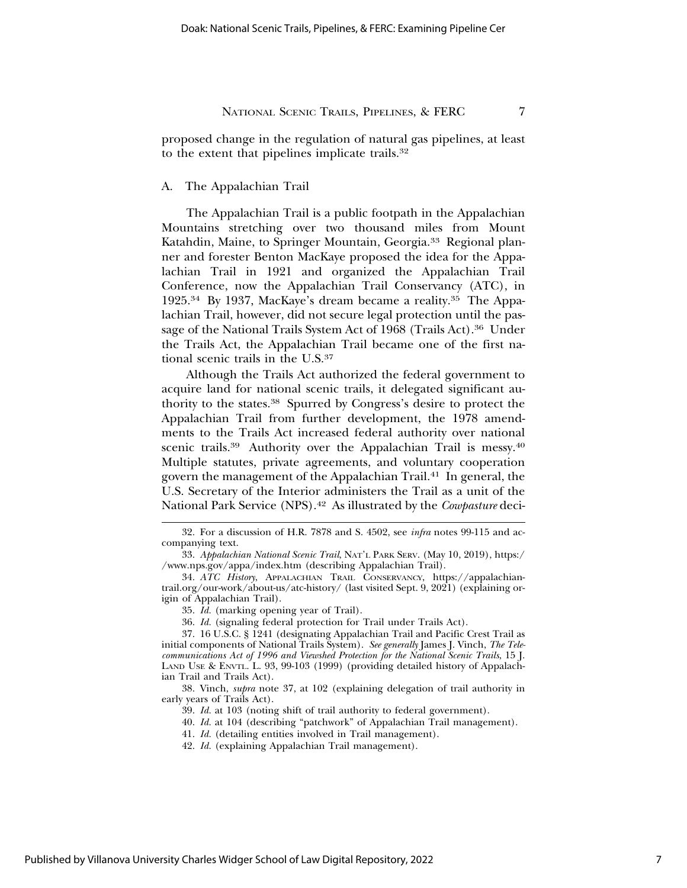proposed change in the regulation of natural gas pipelines, at least to the extent that pipelines implicate trails.32

#### A. The Appalachian Trail

The Appalachian Trail is a public footpath in the Appalachian Mountains stretching over two thousand miles from Mount Katahdin, Maine, to Springer Mountain, Georgia.<sup>33</sup> Regional planner and forester Benton MacKaye proposed the idea for the Appalachian Trail in 1921 and organized the Appalachian Trail Conference, now the Appalachian Trail Conservancy (ATC), in 1925.34 By 1937, MacKaye's dream became a reality.35 The Appalachian Trail, however, did not secure legal protection until the passage of the National Trails System Act of 1968 (Trails Act).<sup>36</sup> Under the Trails Act, the Appalachian Trail became one of the first national scenic trails in the U.S.37

Although the Trails Act authorized the federal government to acquire land for national scenic trails, it delegated significant authority to the states.38 Spurred by Congress's desire to protect the Appalachian Trail from further development, the 1978 amendments to the Trails Act increased federal authority over national scenic trails.<sup>39</sup> Authority over the Appalachian Trail is messy.<sup>40</sup> Multiple statutes, private agreements, and voluntary cooperation govern the management of the Appalachian Trail.41 In general, the U.S. Secretary of the Interior administers the Trail as a unit of the National Park Service (NPS).42 As illustrated by the *Cowpasture* deci-

<sup>32.</sup> For a discussion of H.R. 7878 and S. 4502, see *infra* notes 99-115 and accompanying text.

<sup>33.</sup> *Appalachian National Scenic Trail*, NAT'L PARK SERV. (May 10, 2019), https:/ /www.nps.gov/appa/index.htm (describing Appalachian Trail).

<sup>34.</sup> *ATC History*, APPALACHIAN TRAIL CONSERVANCY, https://appalachiantrail.org/our-work/about-us/atc-history/ (last visited Sept. 9, 2021) (explaining origin of Appalachian Trail).

<sup>35.</sup> *Id.* (marking opening year of Trail).

<sup>36.</sup> *Id.* (signaling federal protection for Trail under Trails Act).

<sup>37. 16</sup> U.S.C. § 1241 (designating Appalachian Trail and Pacific Crest Trail as initial components of National Trails System). *See generally* James J. Vinch, *The Telecommunications Act of 1996 and Viewshed Protection for the National Scenic Trails*, 15 J. LAND USE & ENVTL. L. 93, 99-103 (1999) (providing detailed history of Appalachian Trail and Trails Act).

<sup>38.</sup> Vinch, *supra* note 37, at 102 (explaining delegation of trail authority in early years of Trails Act).

<sup>39.</sup> *Id.* at 103 (noting shift of trail authority to federal government).

<sup>40.</sup> *Id.* at 104 (describing "patchwork" of Appalachian Trail management).

<sup>41.</sup> *Id.* (detailing entities involved in Trail management).

<sup>42.</sup> *Id.* (explaining Appalachian Trail management).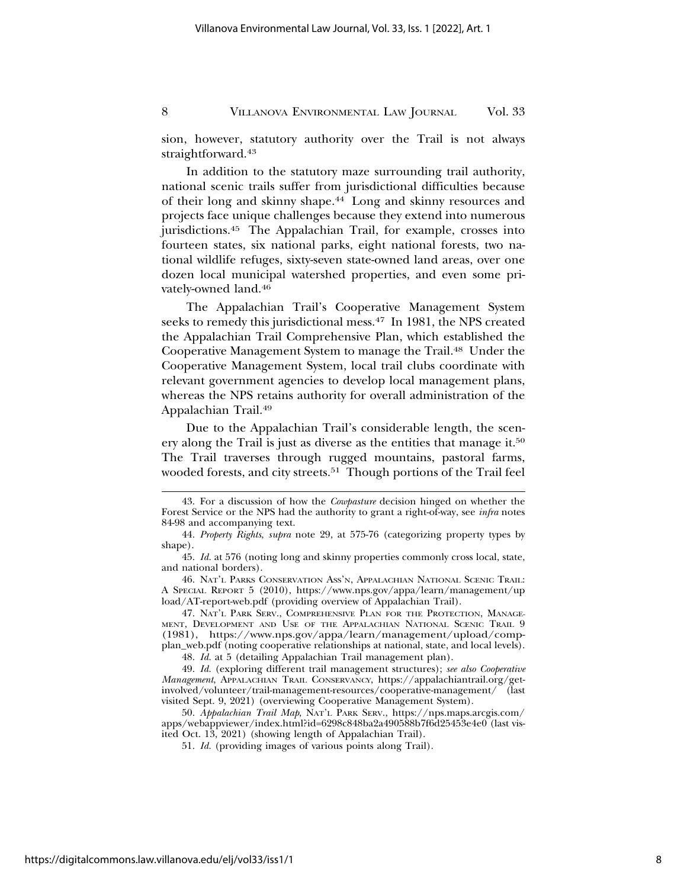sion, however, statutory authority over the Trail is not always straightforward.43

In addition to the statutory maze surrounding trail authority, national scenic trails suffer from jurisdictional difficulties because of their long and skinny shape.44 Long and skinny resources and projects face unique challenges because they extend into numerous jurisdictions.45 The Appalachian Trail, for example, crosses into fourteen states, six national parks, eight national forests, two national wildlife refuges, sixty-seven state-owned land areas, over one dozen local municipal watershed properties, and even some privately-owned land.46

The Appalachian Trail's Cooperative Management System seeks to remedy this jurisdictional mess.47 In 1981, the NPS created the Appalachian Trail Comprehensive Plan, which established the Cooperative Management System to manage the Trail.<sup>48</sup> Under the Cooperative Management System, local trail clubs coordinate with relevant government agencies to develop local management plans, whereas the NPS retains authority for overall administration of the Appalachian Trail.49

Due to the Appalachian Trail's considerable length, the scenery along the Trail is just as diverse as the entities that manage it.50 The Trail traverses through rugged mountains, pastoral farms, wooded forests, and city streets.<sup>51</sup> Though portions of the Trail feel

46. NAT'L PARKS CONSERVATION ASS'N, APPALACHIAN NATIONAL SCENIC TRAIL: A SPECIAL REPORT 5 (2010), https://www.nps.gov/appa/learn/management/up load/AT-report-web.pdf (providing overview of Appalachian Trail).

47. NAT'L PARK SERV., COMPREHENSIVE PLAN FOR THE PROTECTION, MANAGE-MENT, DEVELOPMENT AND USE OF THE APPALACHIAN NATIONAL SCENIC TRAIL 9 (1981), https://www.nps.gov/appa/learn/management/upload/compplan\_web.pdf (noting cooperative relationships at national, state, and local levels).

48. *Id.* at 5 (detailing Appalachian Trail management plan).

49. *Id.* (exploring different trail management structures); *see also Cooperative Management*, APPALACHIAN TRAIL CONSERVANCY, https://appalachiantrail.org/getinvolved/volunteer/trail-management-resources/cooperative-management/ (last visited Sept. 9, 2021) (overviewing Cooperative Management System).

50. *Appalachian Trail Map*, NAT'L PARK SERV., https://nps.maps.arcgis.com/ apps/webappviewer/index.html?id=6298c848ba2a490588b7f6d25453e4e0 (last visited Oct. 13, 2021) (showing length of Appalachian Trail).

51. *Id.* (providing images of various points along Trail).

<sup>43.</sup> For a discussion of how the *Cowpasture* decision hinged on whether the Forest Service or the NPS had the authority to grant a right-of-way, see *infra* notes 84-98 and accompanying text.

<sup>44.</sup> *Property Rights*, *supra* note 29, at 575-76 (categorizing property types by shape).

<sup>45.</sup> *Id.* at 576 (noting long and skinny properties commonly cross local, state, and national borders).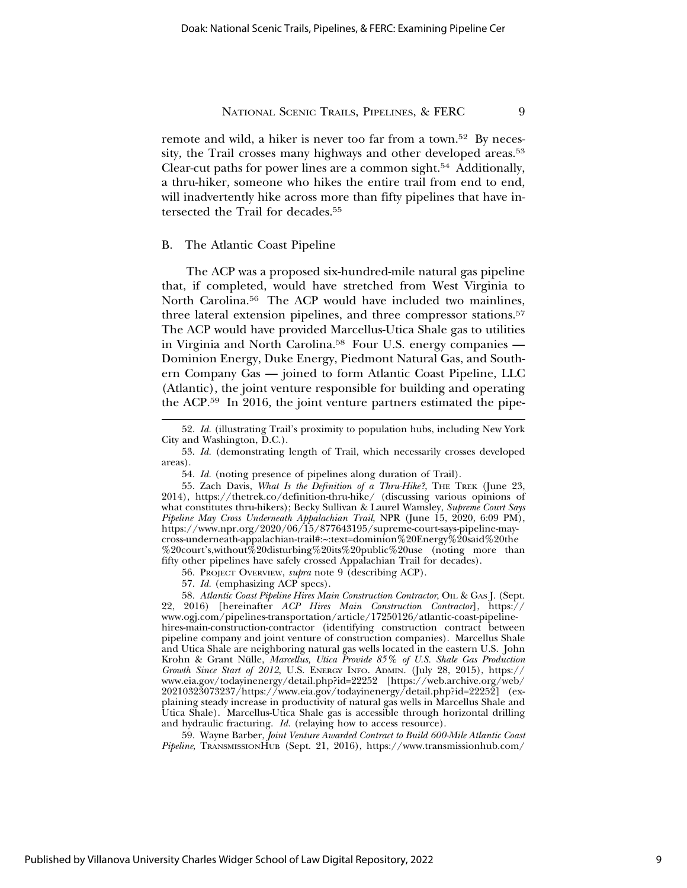remote and wild, a hiker is never too far from a town.52 By necessity, the Trail crosses many highways and other developed areas.<sup>53</sup> Clear-cut paths for power lines are a common sight.54 Additionally, a thru-hiker, someone who hikes the entire trail from end to end, will inadvertently hike across more than fifty pipelines that have intersected the Trail for decades.<sup>55</sup>

#### B. The Atlantic Coast Pipeline

The ACP was a proposed six-hundred-mile natural gas pipeline that, if completed, would have stretched from West Virginia to North Carolina.56 The ACP would have included two mainlines, three lateral extension pipelines, and three compressor stations.<sup>57</sup> The ACP would have provided Marcellus-Utica Shale gas to utilities in Virginia and North Carolina.58 Four U.S. energy companies — Dominion Energy, Duke Energy, Piedmont Natural Gas, and Southern Company Gas — joined to form Atlantic Coast Pipeline, LLC (Atlantic), the joint venture responsible for building and operating the ACP.59 In 2016, the joint venture partners estimated the pipe-

57. *Id.* (emphasizing ACP specs).

58. *Atlantic Coast Pipeline Hires Main Construction Contractor*, OIL & GAS J. (Sept. 22, 2016) [hereinafter *ACP Hires Main Construction Contractor*], https:// www.ogj.com/pipelines-transportation/article/17250126/atlantic-coast-pipelinehires-main-construction-contractor (identifying construction contract between pipeline company and joint venture of construction companies). Marcellus Shale and Utica Shale are neighboring natural gas wells located in the eastern U.S. John Krohn & Grant Nülle, Marcellus, Utica Provide 85% of U.S. Shale Gas Production *Growth Since Start of 2012*, U.S. ENERGY INFO. ADMIN. (July 28, 2015), https:// www.eia.gov/todayinenergy/detail.php?id=22252 [https://web.archive.org/web/ 20210323073237/https://www.eia.gov/todayinenergy/detail.php?id=22252] (explaining steady increase in productivity of natural gas wells in Marcellus Shale and Utica Shale). Marcellus-Utica Shale gas is accessible through horizontal drilling and hydraulic fracturing. *Id.* (relaying how to access resource).

59. Wayne Barber, *Joint Venture Awarded Contract to Build 600-Mile Atlantic Coast Pipeline*, TRANSMISSIONHUB (Sept. 21, 2016), https://www.transmissionhub.com/

<sup>52.</sup> *Id.* (illustrating Trail's proximity to population hubs, including New York City and Washington, D.C.).

<sup>53.</sup> *Id.* (demonstrating length of Trail, which necessarily crosses developed areas).

<sup>54.</sup> *Id.* (noting presence of pipelines along duration of Trail).

<sup>55.</sup> Zach Davis, *What Is the Definition of a Thru-Hike?*, THE TREK (June 23, 2014), https://thetrek.co/definition-thru-hike/ (discussing various opinions of what constitutes thru-hikers); Becky Sullivan & Laurel Wamsley, *Supreme Court Says Pipeline May Cross Underneath Appalachian Trail*, NPR (June 15, 2020, 6:09 PM), https://www.npr.org/2020/06/15/877643195/supreme-court-says-pipeline-maycross-underneath-appalachian-trail#:~:text=dominion%20Energy%20said%20the %20court's,without%20disturbing%20its%20public%20use (noting more than fifty other pipelines have safely crossed Appalachian Trail for decades).

<sup>56.</sup> PROJECT OVERVIEW, *supra* note 9 (describing ACP).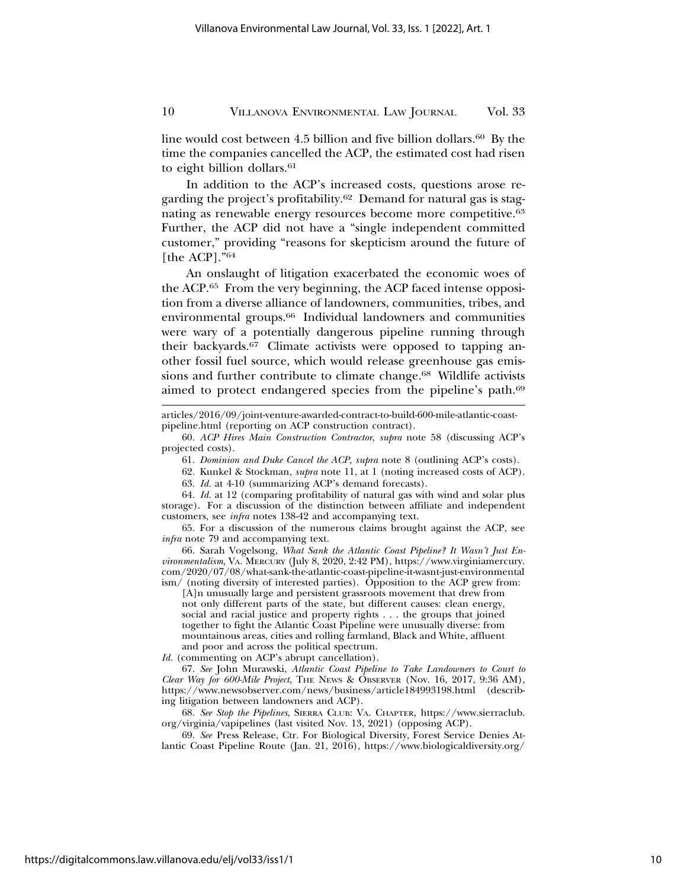line would cost between 4.5 billion and five billion dollars.<sup>60</sup> By the time the companies cancelled the ACP, the estimated cost had risen to eight billion dollars.<sup>61</sup>

In addition to the ACP's increased costs, questions arose regarding the project's profitability.62 Demand for natural gas is stagnating as renewable energy resources become more competitive.63 Further, the ACP did not have a "single independent committed customer," providing "reasons for skepticism around the future of [the ACP]."<sup>64</sup>

An onslaught of litigation exacerbated the economic woes of the ACP.65 From the very beginning, the ACP faced intense opposition from a diverse alliance of landowners, communities, tribes, and environmental groups.66 Individual landowners and communities were wary of a potentially dangerous pipeline running through their backyards.67 Climate activists were opposed to tapping another fossil fuel source, which would release greenhouse gas emissions and further contribute to climate change.<sup>68</sup> Wildlife activists aimed to protect endangered species from the pipeline's path.69

articles/2016/09/joint-venture-awarded-contract-to-build-600-mile-atlantic-coastpipeline.html (reporting on ACP construction contract).

62. Kunkel & Stockman, *supra* note 11, at 1 (noting increased costs of ACP).

63. *Id.* at 4-10 (summarizing ACP's demand forecasts).

64. *Id.* at 12 (comparing profitability of natural gas with wind and solar plus storage). For a discussion of the distinction between affiliate and independent customers, see *infra* notes 138-42 and accompanying text.

65. For a discussion of the numerous claims brought against the ACP, see *infra* note 79 and accompanying text.

66. Sarah Vogelsong, *What Sank the Atlantic Coast Pipeline? It Wasn't Just Environmentalism*, VA. MERCURY (July 8, 2020, 2:42 PM), https://www.virginiamercury. com/2020/07/08/what-sank-the-atlantic-coast-pipeline-it-wasnt-just-environmental ism/ (noting diversity of interested parties). Opposition to the ACP grew from:

[A]n unusually large and persistent grassroots movement that drew from not only different parts of the state, but different causes: clean energy, social and racial justice and property rights . . . the groups that joined together to fight the Atlantic Coast Pipeline were unusually diverse: from mountainous areas, cities and rolling farmland, Black and White, affluent and poor and across the political spectrum.

*Id.* (commenting on ACP's abrupt cancellation).

67. *See* John Murawski, *Atlantic Coast Pipeline to Take Landowners to Court to Clear Way for 600-Mile Project*, THE NEWS & OBSERVER (Nov. 16, 2017, 9:36 AM), https://www.newsobserver.com/news/business/article184993198.html (describing litigation between landowners and ACP).

68. *See Stop the Pipelines*, SIERRA CLUB: VA. CHAPTER, https://www.sierraclub. org/virginia/vapipelines (last visited Nov. 13, 2021) (opposing ACP).

69. *See* Press Release, Ctr. For Biological Diversity, Forest Service Denies Atlantic Coast Pipeline Route (Jan. 21, 2016), https://www.biologicaldiversity.org/

<sup>60.</sup> *ACP Hires Main Construction Contractor*, *supra* note 58 (discussing ACP's projected costs).

<sup>61.</sup> *Dominion and Duke Cancel the ACP*, *supra* note 8 (outlining ACP's costs).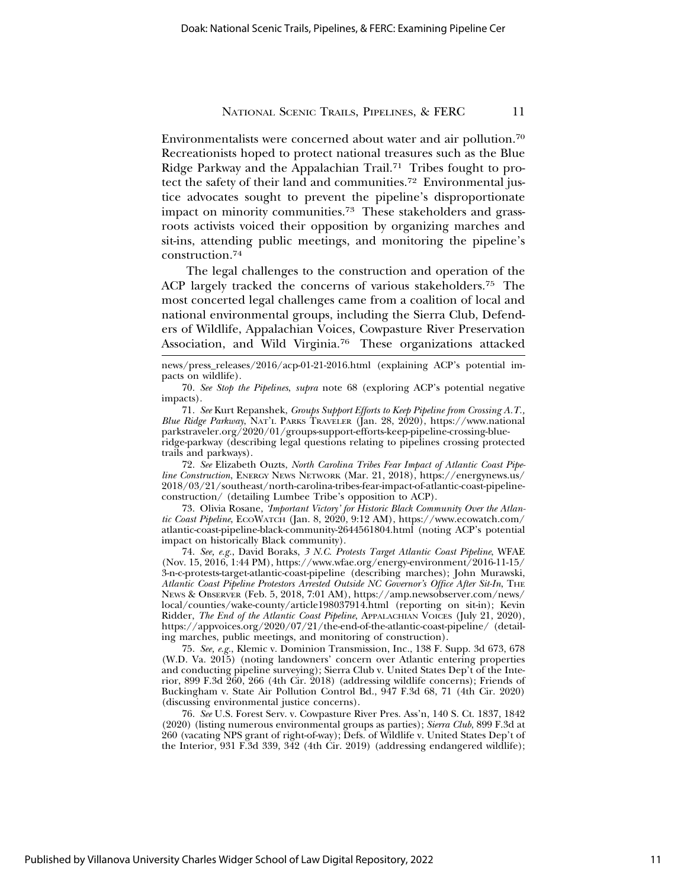Environmentalists were concerned about water and air pollution.70 Recreationists hoped to protect national treasures such as the Blue Ridge Parkway and the Appalachian Trail.71 Tribes fought to protect the safety of their land and communities.72 Environmental justice advocates sought to prevent the pipeline's disproportionate impact on minority communities.73 These stakeholders and grassroots activists voiced their opposition by organizing marches and sit-ins, attending public meetings, and monitoring the pipeline's construction.74

The legal challenges to the construction and operation of the ACP largely tracked the concerns of various stakeholders.75 The most concerted legal challenges came from a coalition of local and national environmental groups, including the Sierra Club, Defenders of Wildlife, Appalachian Voices, Cowpasture River Preservation Association, and Wild Virginia.76 These organizations attacked

news/press\_releases/2016/acp-01-21-2016.html (explaining ACP's potential impacts on wildlife).

70. *See Stop the Pipelines*, *supra* note 68 (exploring ACP's potential negative impacts).

71. *See* Kurt Repanshek, *Groups Support Efforts to Keep Pipeline from Crossing A.T., Blue Ridge Parkway*, NAT'L PARKS TRAVELER (Jan. 28, 2020), https://www.national parkstraveler.org/2020/01/groups-support-efforts-keep-pipeline-crossing-blueridge-parkway (describing legal questions relating to pipelines crossing protected trails and parkways).

72. *See* Elizabeth Ouzts, *North Carolina Tribes Fear Impact of Atlantic Coast Pipeline Construction*, ENERGY NEWS NETWORK (Mar. 21, 2018), https://energynews.us/ 2018/03/21/southeast/north-carolina-tribes-fear-impact-of-atlantic-coast-pipelineconstruction/ (detailing Lumbee Tribe's opposition to ACP).

73. Olivia Rosane, *'Important Victory' for Historic Black Community Over the Atlantic Coast Pipeline*, ECOWATCH (Jan. 8, 2020, 9:12 AM), https://www.ecowatch.com/ atlantic-coast-pipeline-black-community-2644561804.html (noting ACP's potential impact on historically Black community).

74. *See, e.g.*, David Boraks, *3 N.C. Protests Target Atlantic Coast Pipeline*, WFAE (Nov. 15, 2016, 1:44 PM), https://www.wfae.org/energy-environment/2016-11-15/ 3-n-c-protests-target-atlantic-coast-pipeline (describing marches); John Murawski, *Atlantic Coast Pipeline Protestors Arrested Outside NC Governor's Office After Sit-In*, THE NEWS & OBSERVER (Feb. 5, 2018, 7:01 AM), https://amp.newsobserver.com/news/ local/counties/wake-county/article198037914.html (reporting on sit-in); Kevin Ridder, *The End of the Atlantic Coast Pipeline*, APPALACHIAN VOICES (July 21, 2020), https://appvoices.org/2020/07/21/the-end-of-the-atlantic-coast-pipeline/ (detailing marches, public meetings, and monitoring of construction).

75. *See, e.g.*, Klemic v. Dominion Transmission, Inc., 138 F. Supp. 3d 673, 678 (W.D. Va. 2015) (noting landowners' concern over Atlantic entering properties and conducting pipeline surveying); Sierra Club v. United States Dep't of the Interior, 899 F.3d 260, 266 (4th Cir. 2018) (addressing wildlife concerns); Friends of Buckingham v. State Air Pollution Control Bd., 947 F.3d 68, 71 (4th Cir. 2020) (discussing environmental justice concerns).

76. *See* U.S. Forest Serv. v. Cowpasture River Pres. Ass'n, 140 S. Ct. 1837, 1842 (2020) (listing numerous environmental groups as parties); *Sierra Club*, 899 F.3d at 260 (vacating NPS grant of right-of-way); Defs. of Wildlife v. United States Dep't of the Interior, 931 F.3d 339, 342 (4th Cir. 2019) (addressing endangered wildlife);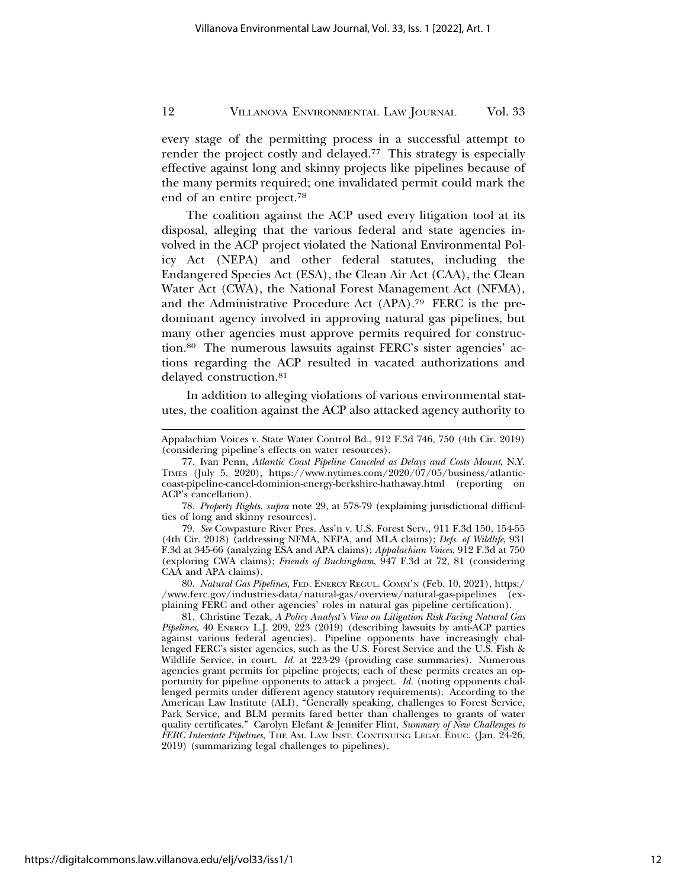every stage of the permitting process in a successful attempt to render the project costly and delayed.<sup>77</sup> This strategy is especially effective against long and skinny projects like pipelines because of the many permits required; one invalidated permit could mark the end of an entire project.78

The coalition against the ACP used every litigation tool at its disposal, alleging that the various federal and state agencies involved in the ACP project violated the National Environmental Policy Act (NEPA) and other federal statutes, including the Endangered Species Act (ESA), the Clean Air Act (CAA), the Clean Water Act (CWA), the National Forest Management Act (NFMA), and the Administrative Procedure Act (APA).79 FERC is the predominant agency involved in approving natural gas pipelines, but many other agencies must approve permits required for construction.80 The numerous lawsuits against FERC's sister agencies' actions regarding the ACP resulted in vacated authorizations and delayed construction.<sup>81</sup>

In addition to alleging violations of various environmental statutes, the coalition against the ACP also attacked agency authority to

78. *Property Rights*, *supra* note 29, at 578-79 (explaining jurisdictional difficulties of long and skinny resources).

79. *See* Cowpasture River Pres. Ass'n v. U.S. Forest Serv., 911 F.3d 150, 154-55 (4th Cir. 2018) (addressing NFMA, NEPA, and MLA claims); *Defs. of Wildlife*, 931 F.3d at 345-66 (analyzing ESA and APA claims); *Appalachian Voices*, 912 F.3d at 750 (exploring CWA claims); *Friends of Buckingham*, 947 F.3d at 72, 81 (considering CAA and APA claims).

80. *Natural Gas Pipelines*, FED. ENERGY REGUL. COMM'N (Feb. 10, 2021), https:/ /www.ferc.gov/industries-data/natural-gas/overview/natural-gas-pipelines (explaining FERC and other agencies' roles in natural gas pipeline certification).

81. Christine Tezak, *A Policy Analyst's View on Litigation Risk Facing Natural Gas Pipelines*, 40 ENERGY L.J. 209, 223 (2019) (describing lawsuits by anti-ACP parties against various federal agencies). Pipeline opponents have increasingly challenged FERC's sister agencies, such as the U.S. Forest Service and the U.S. Fish & Wildlife Service, in court. *Id.* at 223-29 (providing case summaries). Numerous agencies grant permits for pipeline projects; each of these permits creates an opportunity for pipeline opponents to attack a project. *Id.* (noting opponents challenged permits under different agency statutory requirements). According to the American Law Institute (ALI), "Generally speaking, challenges to Forest Service, Park Service, and BLM permits fared better than challenges to grants of water quality certificates." Carolyn Elefant & Jennifer Flint, *Summary of New Challenges to FERC Interstate Pipelines*, THE AM. LAW INST. CONTINUING LEGAL EDUC. (Jan. 24-26, 2019) (summarizing legal challenges to pipelines).

Appalachian Voices v. State Water Control Bd., 912 F.3d 746, 750 (4th Cir. 2019) (considering pipeline's effects on water resources).

<sup>77.</sup> Ivan Penn, *Atlantic Coast Pipeline Canceled as Delays and Costs Mount*, N.Y. TIMES (July 5, 2020), https://www.nytimes.com/2020/07/05/business/atlanticcoast-pipeline-cancel-dominion-energy-berkshire-hathaway.html (reporting on ACP's cancellation).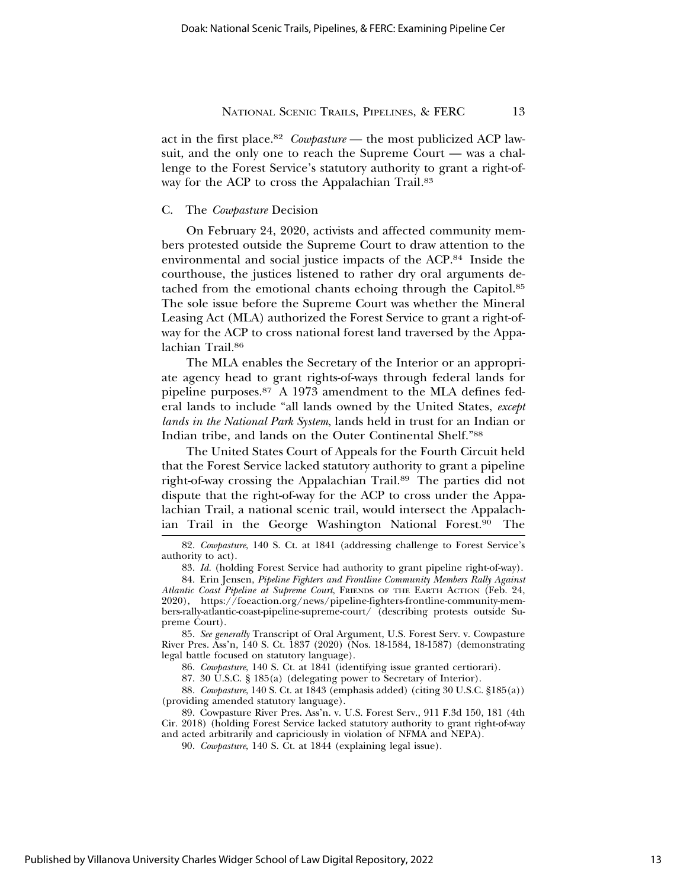act in the first place.82 *Cowpasture* — the most publicized ACP lawsuit, and the only one to reach the Supreme Court — was a challenge to the Forest Service's statutory authority to grant a right-ofway for the ACP to cross the Appalachian Trail*.*<sup>83</sup>

#### C. The *Cowpasture* Decision

On February 24, 2020, activists and affected community members protested outside the Supreme Court to draw attention to the environmental and social justice impacts of the ACP.84 Inside the courthouse, the justices listened to rather dry oral arguments detached from the emotional chants echoing through the Capitol.85 The sole issue before the Supreme Court was whether the Mineral Leasing Act (MLA) authorized the Forest Service to grant a right-ofway for the ACP to cross national forest land traversed by the Appalachian Trail.<sup>86</sup>

The MLA enables the Secretary of the Interior or an appropriate agency head to grant rights-of-ways through federal lands for pipeline purposes.87 A 1973 amendment to the MLA defines federal lands to include "all lands owned by the United States, *except lands in the National Park System*, lands held in trust for an Indian or Indian tribe, and lands on the Outer Continental Shelf."88

The United States Court of Appeals for the Fourth Circuit held that the Forest Service lacked statutory authority to grant a pipeline right-of-way crossing the Appalachian Trail.89 The parties did not dispute that the right-of-way for the ACP to cross under the Appalachian Trail, a national scenic trail, would intersect the Appalachian Trail in the George Washington National Forest.90 The

88. *Cowpasture*, 140 S. Ct. at 1843 (emphasis added) (citing 30 U.S.C. §185(a)) (providing amended statutory language).

89. Cowpasture River Pres. Ass'n. v. U.S. Forest Serv., 911 F.3d 150, 181 (4th Cir. 2018) (holding Forest Service lacked statutory authority to grant right-of-way and acted arbitrarily and capriciously in violation of NFMA and NEPA).

<sup>82.</sup> *Cowpasture*, 140 S. Ct. at 1841 (addressing challenge to Forest Service's authority to act).

<sup>83.</sup> *Id.* (holding Forest Service had authority to grant pipeline right-of-way).

<sup>84.</sup> Erin Jensen, *Pipeline Fighters and Frontline Community Members Rally Against Atlantic Coast Pipeline at Supreme Court*, FRIENDS OF THE EARTH ACTION (Feb. 24, 2020), https://foeaction.org/news/pipeline-fighters-frontline-community-members-rally-atlantic-coast-pipeline-supreme-court/ (describing protests outside Supreme Court).

<sup>85.</sup> *See generally* Transcript of Oral Argument, U.S. Forest Serv. v. Cowpasture River Pres. Ass'n*,* 140 S. Ct. 1837 (2020) (Nos. 18-1584, 18-1587) (demonstrating legal battle focused on statutory language).

<sup>86.</sup> *Cowpasture*, 140 S. Ct. at 1841 (identifying issue granted certiorari).

<sup>87. 30</sup> U.S.C. § 185(a) (delegating power to Secretary of Interior).

<sup>90.</sup> *Cowpasture*, 140 S. Ct. at 1844 (explaining legal issue).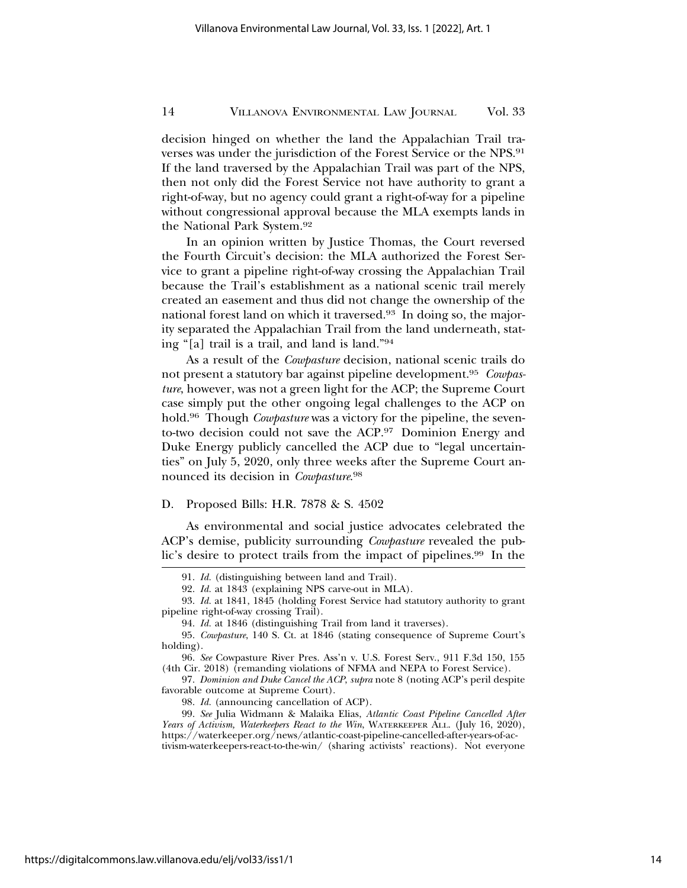decision hinged on whether the land the Appalachian Trail traverses was under the jurisdiction of the Forest Service or the NPS.91 If the land traversed by the Appalachian Trail was part of the NPS, then not only did the Forest Service not have authority to grant a right-of-way, but no agency could grant a right-of-way for a pipeline without congressional approval because the MLA exempts lands in the National Park System.92

In an opinion written by Justice Thomas, the Court reversed the Fourth Circuit's decision: the MLA authorized the Forest Service to grant a pipeline right-of-way crossing the Appalachian Trail because the Trail's establishment as a national scenic trail merely created an easement and thus did not change the ownership of the national forest land on which it traversed.93 In doing so, the majority separated the Appalachian Trail from the land underneath, stating "[a] trail is a trail, and land is land."94

As a result of the *Cowpasture* decision, national scenic trails do not present a statutory bar against pipeline development.95 *Cowpasture*, however, was not a green light for the ACP; the Supreme Court case simply put the other ongoing legal challenges to the ACP on hold.96 Though *Cowpasture* was a victory for the pipeline, the sevento-two decision could not save the ACP.97 Dominion Energy and Duke Energy publicly cancelled the ACP due to "legal uncertainties" on July 5, 2020, only three weeks after the Supreme Court announced its decision in *Cowpasture*. 98

## D. Proposed Bills: H.R. 7878 & S. 4502

As environmental and social justice advocates celebrated the ACP's demise, publicity surrounding *Cowpasture* revealed the public's desire to protect trails from the impact of pipelines.<sup>99</sup> In the

<sup>91.</sup> *Id.* (distinguishing between land and Trail).

<sup>92.</sup> *Id.* at 1843 (explaining NPS carve-out in MLA).

<sup>93.</sup> *Id.* at 1841, 1845 (holding Forest Service had statutory authority to grant pipeline right-of-way crossing Trail).

<sup>94.</sup> *Id.* at 1846 (distinguishing Trail from land it traverses).

<sup>95.</sup> *Cowpasture*, 140 S. Ct. at 1846 (stating consequence of Supreme Court's holding).

<sup>96.</sup> *See* Cowpasture River Pres. Ass'n v. U.S. Forest Serv., 911 F.3d 150, 155 (4th Cir. 2018) (remanding violations of NFMA and NEPA to Forest Service).

<sup>97.</sup> *Dominion and Duke Cancel the ACP*, *supra* note 8 (noting ACP's peril despite favorable outcome at Supreme Court).

<sup>98.</sup> *Id.* (announcing cancellation of ACP).

<sup>99.</sup> *See* Julia Widmann & Malaika Elias, *Atlantic Coast Pipeline Cancelled After Years of Activism, Waterkeepers React to the Win*, WATERKEEPER ALL. (July 16, 2020), https://waterkeeper.org/news/atlantic-coast-pipeline-cancelled-after-years-of-activism-waterkeepers-react-to-the-win/ (sharing activists' reactions). Not everyone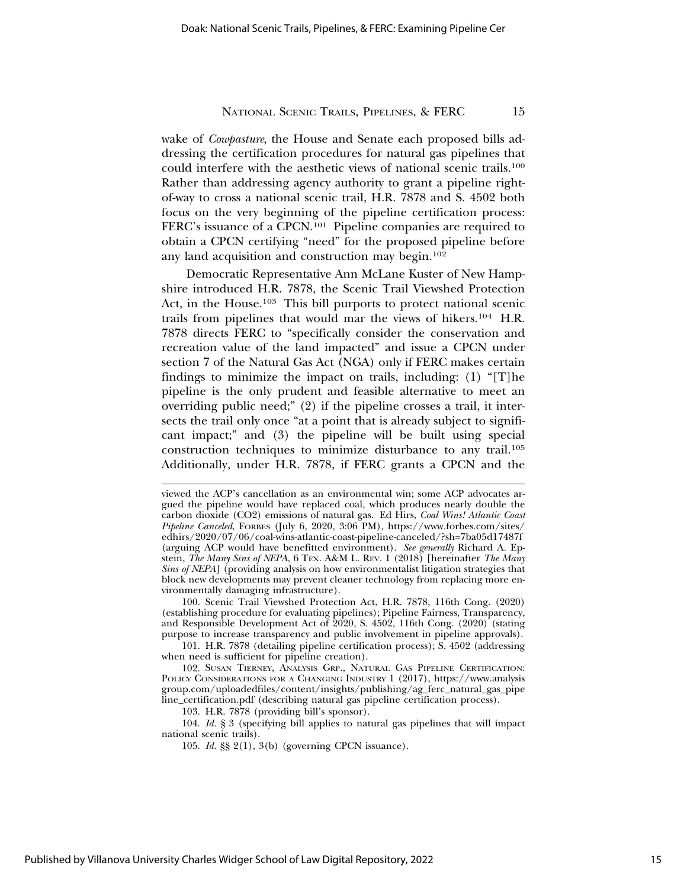wake of *Cowpasture*, the House and Senate each proposed bills addressing the certification procedures for natural gas pipelines that could interfere with the aesthetic views of national scenic trails.100 Rather than addressing agency authority to grant a pipeline rightof-way to cross a national scenic trail, H.R. 7878 and S. 4502 both focus on the very beginning of the pipeline certification process: FERC's issuance of a CPCN.101 Pipeline companies are required to obtain a CPCN certifying "need" for the proposed pipeline before any land acquisition and construction may begin.102

Democratic Representative Ann McLane Kuster of New Hampshire introduced H.R. 7878, the Scenic Trail Viewshed Protection Act, in the House.<sup>103</sup> This bill purports to protect national scenic trails from pipelines that would mar the views of hikers.104 H.R. 7878 directs FERC to "specifically consider the conservation and recreation value of the land impacted" and issue a CPCN under section 7 of the Natural Gas Act (NGA) only if FERC makes certain findings to minimize the impact on trails, including: (1) "[T]he pipeline is the only prudent and feasible alternative to meet an overriding public need;" (2) if the pipeline crosses a trail, it intersects the trail only once "at a point that is already subject to significant impact;" and (3) the pipeline will be built using special construction techniques to minimize disturbance to any trail.105 Additionally, under H.R. 7878, if FERC grants a CPCN and the

100. Scenic Trail Viewshed Protection Act, H.R. 7878, 116th Cong. (2020) (establishing procedure for evaluating pipelines); Pipeline Fairness, Transparency, and Responsible Development Act of 2020, S. 4502, 116th Cong. (2020) (stating purpose to increase transparency and public involvement in pipeline approvals).

101. H.R. 7878 (detailing pipeline certification process); S. 4502 (addressing when need is sufficient for pipeline creation).

102. SUSAN TIERNEY, ANALYSIS GRP., NATURAL GAS PIPELINE CERTIFICATION: POLICY CONSIDERATIONS FOR A CHANGING INDUSTRY 1 (2017), https://www.analysis group.com/uploadedfiles/content/insights/publishing/ag\_ferc\_natural\_gas\_pipe line\_certification.pdf (describing natural gas pipeline certification process).

103. H.R. 7878 (providing bill's sponsor).

104. *Id.* § 3 (specifying bill applies to natural gas pipelines that will impact national scenic trails).

105. *Id.* §§ 2(1), 3(b) (governing CPCN issuance).

viewed the ACP's cancellation as an environmental win; some ACP advocates argued the pipeline would have replaced coal, which produces nearly double the carbon dioxide (CO2) emissions of natural gas. Ed Hirs, *Coal Wins! Atlantic Coast Pipeline Canceled*, FORBES (July 6, 2020, 3:06 PM), https://www.forbes.com/sites/ edhirs/2020/07/06/coal-wins-atlantic-coast-pipeline-canceled/?sh=7ba05d17487f (arguing ACP would have benefitted environment). *See generally* Richard A. Epstein, *The Many Sins of NEPA*, 6 TEX. A&M L. REV. 1 (2018) [hereinafter *The Many Sins of NEPA*] (providing analysis on how environmentalist litigation strategies that block new developments may prevent cleaner technology from replacing more environmentally damaging infrastructure).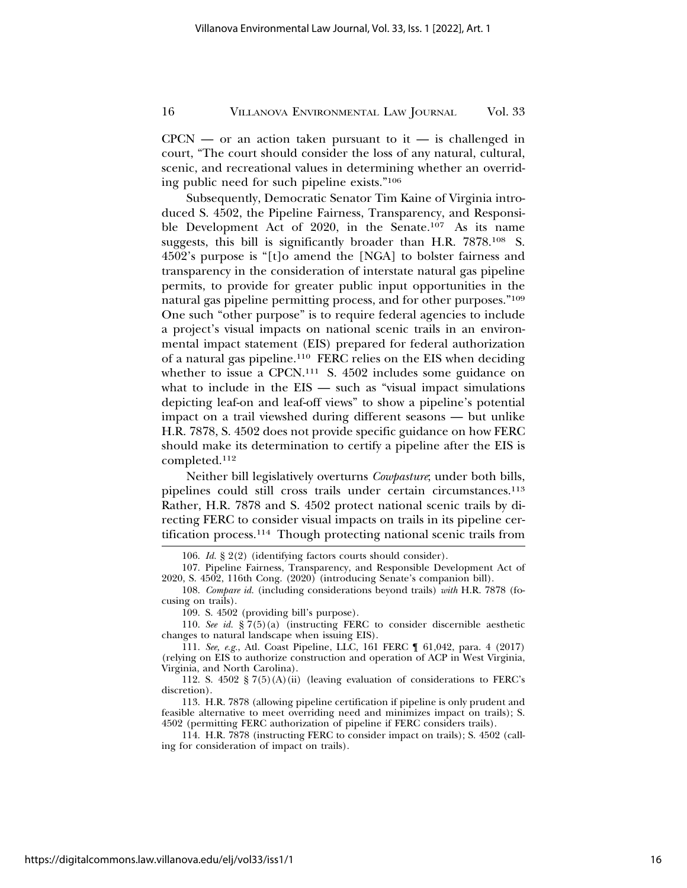$CPCN$  — or an action taken pursuant to it — is challenged in court, "The court should consider the loss of any natural, cultural, scenic, and recreational values in determining whether an overriding public need for such pipeline exists."106

Subsequently, Democratic Senator Tim Kaine of Virginia introduced S. 4502, the Pipeline Fairness, Transparency, and Responsible Development Act of 2020, in the Senate.107 As its name suggests, this bill is significantly broader than H.R. 7878.108 S. 4502's purpose is "[t]o amend the [NGA] to bolster fairness and transparency in the consideration of interstate natural gas pipeline permits, to provide for greater public input opportunities in the natural gas pipeline permitting process, and for other purposes."109 One such "other purpose" is to require federal agencies to include a project's visual impacts on national scenic trails in an environmental impact statement (EIS) prepared for federal authorization of a natural gas pipeline.110 FERC relies on the EIS when deciding whether to issue a CPCN.<sup>111</sup> S. 4502 includes some guidance on what to include in the EIS — such as "visual impact simulations" depicting leaf-on and leaf-off views" to show a pipeline's potential impact on a trail viewshed during different seasons — but unlike H.R. 7878, S. 4502 does not provide specific guidance on how FERC should make its determination to certify a pipeline after the EIS is completed.112

Neither bill legislatively overturns *Cowpasture*; under both bills, pipelines could still cross trails under certain circumstances.113 Rather, H.R. 7878 and S. 4502 protect national scenic trails by directing FERC to consider visual impacts on trails in its pipeline certification process.114 Though protecting national scenic trails from

<sup>106.</sup> *Id.* § 2(2) (identifying factors courts should consider).

<sup>107.</sup> Pipeline Fairness, Transparency, and Responsible Development Act of 2020, S. 4502, 116th Cong. (2020) (introducing Senate's companion bill).

<sup>108.</sup> *Compare id.* (including considerations beyond trails) *with* H.R. 7878 (focusing on trails).

<sup>109.</sup> S. 4502 (providing bill's purpose).

<sup>110.</sup> *See id.* § 7(5)(a) (instructing FERC to consider discernible aesthetic changes to natural landscape when issuing EIS).

<sup>111.</sup> *See, e.g.*, Atl. Coast Pipeline, LLC, 161 FERC ¶ 61,042, para. 4 (2017) (relying on EIS to authorize construction and operation of ACP in West Virginia, Virginia, and North Carolina).

<sup>112.</sup> S. 4502 § 7(5)(A)(ii) (leaving evaluation of considerations to FERC's discretion).

<sup>113.</sup> H.R. 7878 (allowing pipeline certification if pipeline is only prudent and feasible alternative to meet overriding need and minimizes impact on trails); S. 4502 (permitting FERC authorization of pipeline if FERC considers trails).

<sup>114.</sup> H.R. 7878 (instructing FERC to consider impact on trails); S. 4502 (calling for consideration of impact on trails).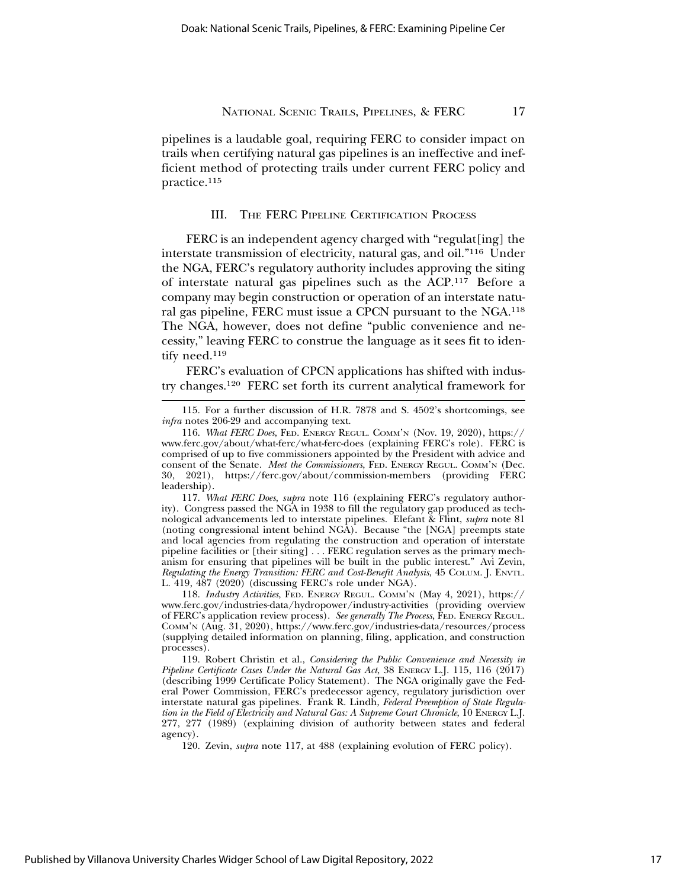pipelines is a laudable goal, requiring FERC to consider impact on trails when certifying natural gas pipelines is an ineffective and inefficient method of protecting trails under current FERC policy and practice.115

## III. THE FERC PIPELINE CERTIFICATION PROCESS

FERC is an independent agency charged with "regulat[ing] the interstate transmission of electricity, natural gas, and oil."116 Under the NGA, FERC's regulatory authority includes approving the siting of interstate natural gas pipelines such as the ACP.117 Before a company may begin construction or operation of an interstate natural gas pipeline, FERC must issue a CPCN pursuant to the NGA.118 The NGA, however, does not define "public convenience and necessity," leaving FERC to construe the language as it sees fit to identify need.<sup>119</sup>

FERC's evaluation of CPCN applications has shifted with industry changes.120 FERC set forth its current analytical framework for

117. *What FERC Does*, *supra* note 116 (explaining FERC's regulatory authority). Congress passed the NGA in 1938 to fill the regulatory gap produced as technological advancements led to interstate pipelines. Elefant & Flint, *supra* note 81 (noting congressional intent behind NGA). Because "the [NGA] preempts state and local agencies from regulating the construction and operation of interstate pipeline facilities or [their siting] . . . FERC regulation serves as the primary mechanism for ensuring that pipelines will be built in the public interest." Avi Zevin, *Regulating the Energy Transition: FERC and Cost-Benefit Analysis*, 45 COLUM. J. ENVTL. L. 419, 487 (2020) (discussing FERC's role under NGA).

118. *Industry Activities*, FED. ENERGY REGUL. COMM'N (May 4, 2021), https:// www.ferc.gov/industries-data/hydropower/industry-activities (providing overview of FERC's application review process). *See generally The Process*, FED. ENERGY REGUL. COMM'N (Aug. 31, 2020), https://www.ferc.gov/industries-data/resources/process (supplying detailed information on planning, filing, application, and construction processes).

119. Robert Christin et al., *Considering the Public Convenience and Necessity in Pipeline Certificate Cases Under the Natural Gas Act*, 38 ENERGY L.J. 115, 116 (2017) (describing 1999 Certificate Policy Statement). The NGA originally gave the Federal Power Commission, FERC's predecessor agency, regulatory jurisdiction over interstate natural gas pipelines. Frank R. Lindh, *Federal Preemption of State Regulation in the Field of Electricity and Natural Gas: A Supreme Court Chronicle, 10 ENERGY L.J.* 277, 277 (1989) (explaining division of authority between states and federal agency).

120. Zevin, *supra* note 117, at 488 (explaining evolution of FERC policy).

<sup>115.</sup> For a further discussion of H.R. 7878 and S. 4502's shortcomings, see *infra* notes 206-29 and accompanying text.

<sup>116.</sup> *What FERC Does*, FED. ENERGY REGUL. COMM'N (Nov. 19, 2020), https:// www.ferc.gov/about/what-ferc/what-ferc-does (explaining FERC's role). FERC is comprised of up to five commissioners appointed by the President with advice and consent of the Senate. *Meet the Commissioners*, FED. ENERGY REGUL. COMM'N (Dec. 30, 2021), https://ferc.gov/about/commission-members (providing FERC leadership).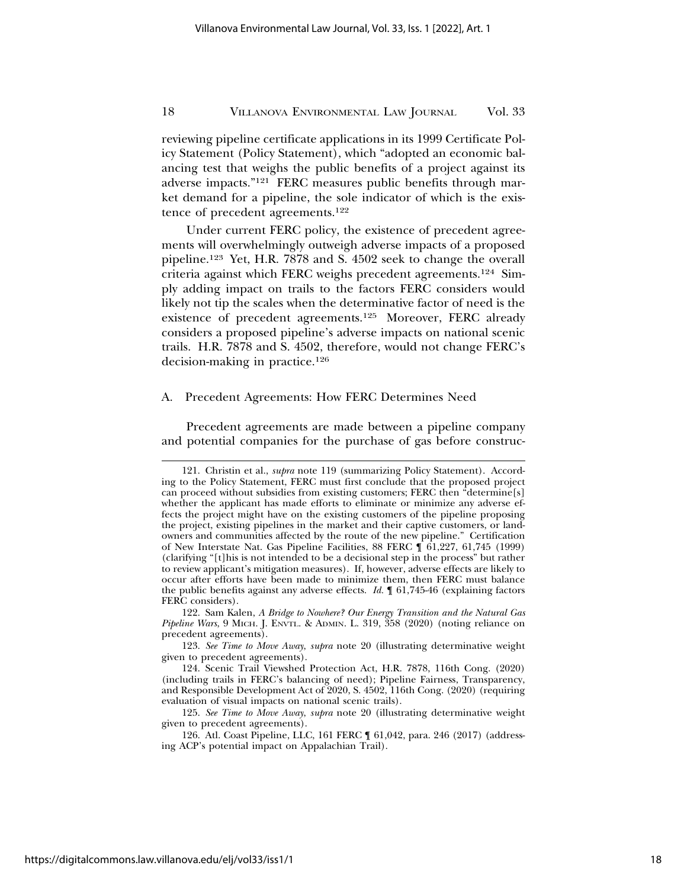reviewing pipeline certificate applications in its 1999 Certificate Policy Statement (Policy Statement), which "adopted an economic balancing test that weighs the public benefits of a project against its adverse impacts."121 FERC measures public benefits through market demand for a pipeline, the sole indicator of which is the existence of precedent agreements.122

Under current FERC policy, the existence of precedent agreements will overwhelmingly outweigh adverse impacts of a proposed pipeline.123 Yet, H.R. 7878 and S. 4502 seek to change the overall criteria against which FERC weighs precedent agreements.124 Simply adding impact on trails to the factors FERC considers would likely not tip the scales when the determinative factor of need is the existence of precedent agreements.125 Moreover, FERC already considers a proposed pipeline's adverse impacts on national scenic trails. H.R. 7878 and S. 4502, therefore, would not change FERC's decision-making in practice.126

#### A. Precedent Agreements: How FERC Determines Need

Precedent agreements are made between a pipeline company and potential companies for the purchase of gas before construc-

122. Sam Kalen, *A Bridge to Nowhere? Our Energy Transition and the Natural Gas Pipeline Wars*, 9 MICH. J. ENVTL. & ADMIN. L. 319, 358 (2020) (noting reliance on precedent agreements).

123. *See Time to Move Away*, *supra* note 20 (illustrating determinative weight given to precedent agreements).

125. *See Time to Move Away*, *supra* note 20 (illustrating determinative weight given to precedent agreements).

<sup>121.</sup> Christin et al., *supra* note 119 (summarizing Policy Statement). According to the Policy Statement, FERC must first conclude that the proposed project can proceed without subsidies from existing customers; FERC then "determine[s] whether the applicant has made efforts to eliminate or minimize any adverse effects the project might have on the existing customers of the pipeline proposing the project, existing pipelines in the market and their captive customers, or landowners and communities affected by the route of the new pipeline." Certification of New Interstate Nat. Gas Pipeline Facilities, 88 FERC ¶ 61,227, 61,745 (1999) (clarifying "[t]his is not intended to be a decisional step in the process" but rather to review applicant's mitigation measures). If, however, adverse effects are likely to occur after efforts have been made to minimize them, then FERC must balance the public benefits against any adverse effects. *Id.* ¶ 61,745-46 (explaining factors FERC considers).

<sup>124.</sup> Scenic Trail Viewshed Protection Act, H.R. 7878, 116th Cong. (2020) (including trails in FERC's balancing of need); Pipeline Fairness, Transparency, and Responsible Development Act of 2020, S. 4502, 116th Cong. (2020) (requiring evaluation of visual impacts on national scenic trails).

<sup>126.</sup> Atl. Coast Pipeline, LLC, 161 FERC ¶ 61,042, para. 246 (2017) (addressing ACP's potential impact on Appalachian Trail).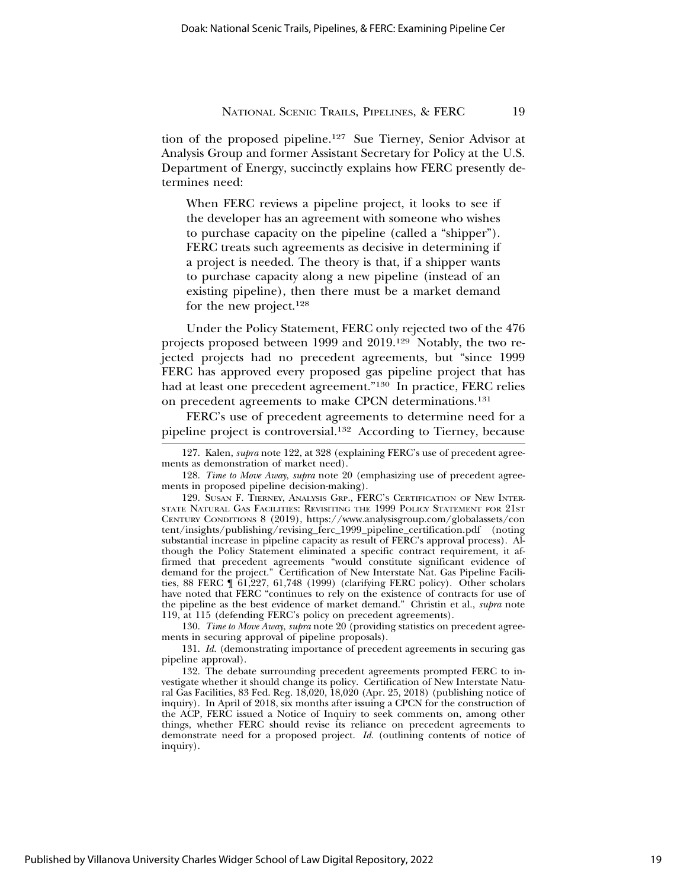tion of the proposed pipeline.127 Sue Tierney, Senior Advisor at Analysis Group and former Assistant Secretary for Policy at the U.S. Department of Energy, succinctly explains how FERC presently determines need:

When FERC reviews a pipeline project, it looks to see if the developer has an agreement with someone who wishes to purchase capacity on the pipeline (called a "shipper"). FERC treats such agreements as decisive in determining if a project is needed. The theory is that, if a shipper wants to purchase capacity along a new pipeline (instead of an existing pipeline), then there must be a market demand for the new project.128

Under the Policy Statement, FERC only rejected two of the 476 projects proposed between 1999 and 2019.129 Notably, the two rejected projects had no precedent agreements, but "since 1999 FERC has approved every proposed gas pipeline project that has had at least one precedent agreement."130 In practice, FERC relies on precedent agreements to make CPCN determinations.131

FERC's use of precedent agreements to determine need for a pipeline project is controversial.132 According to Tierney, because

129. SUSAN F. TIERNEY, ANALYSIS GRP., FERC'S CERTIFICATION OF NEW INTER-STATE NATURAL GAS FACILITIES: REVISITING THE 1999 POLICY STATEMENT FOR 21ST CENTURY CONDITIONS 8 (2019), https://www.analysisgroup.com/globalassets/con tent/insights/publishing/revising\_ferc\_1999\_pipeline\_certification.pdf (noting substantial increase in pipeline capacity as result of FERC's approval process). Although the Policy Statement eliminated a specific contract requirement, it affirmed that precedent agreements "would constitute significant evidence of demand for the project." Certification of New Interstate Nat. Gas Pipeline Facilities, 88 FERC ¶ 61,227, 61,748 (1999) (clarifying FERC policy). Other scholars have noted that FERC "continues to rely on the existence of contracts for use of the pipeline as the best evidence of market demand." Christin et al., *supra* note 119, at 115 (defending FERC's policy on precedent agreements).

130. *Time to Move Away*, *supra* note 20 (providing statistics on precedent agreements in securing approval of pipeline proposals).

131. *Id.* (demonstrating importance of precedent agreements in securing gas pipeline approval).

132. The debate surrounding precedent agreements prompted FERC to investigate whether it should change its policy. Certification of New Interstate Natural Gas Facilities, 83 Fed. Reg. 18,020, 18,020 (Apr. 25, 2018) (publishing notice of inquiry). In April of 2018, six months after issuing a CPCN for the construction of the ACP, FERC issued a Notice of Inquiry to seek comments on, among other things, whether FERC should revise its reliance on precedent agreements to demonstrate need for a proposed project. *Id.* (outlining contents of notice of inquiry).

Published by Villanova University Charles Widger School of Law Digital Repository, 2022

<sup>127.</sup> Kalen, *supra* note 122, at 328 (explaining FERC's use of precedent agreements as demonstration of market need).

<sup>128.</sup> *Time to Move Away*, *supra* note 20 (emphasizing use of precedent agreements in proposed pipeline decision-making).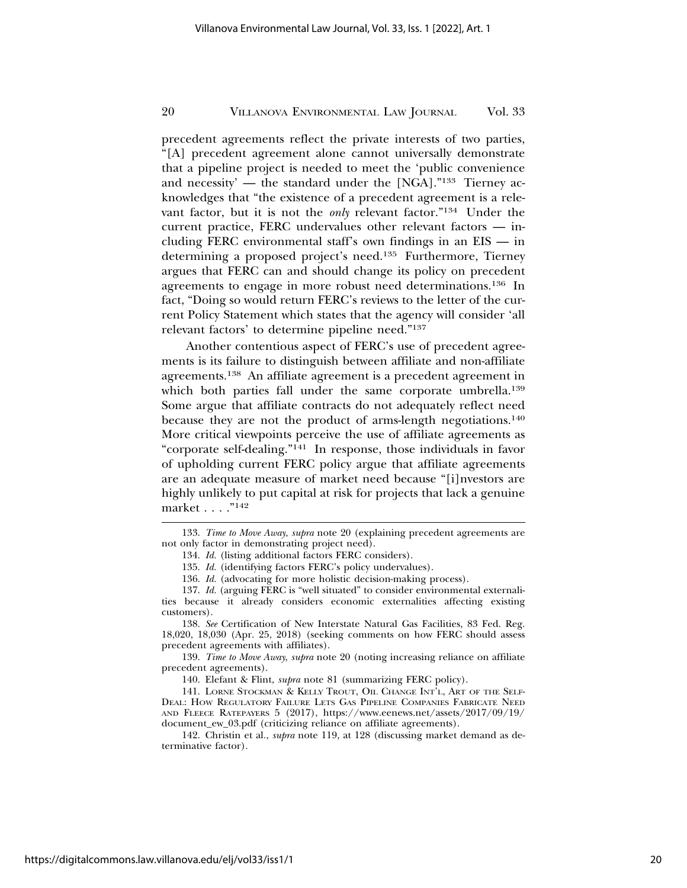precedent agreements reflect the private interests of two parties, "[A] precedent agreement alone cannot universally demonstrate that a pipeline project is needed to meet the 'public convenience and necessity' — the standard under the [NGA]."133 Tierney acknowledges that "the existence of a precedent agreement is a relevant factor, but it is not the *only* relevant factor."134 Under the current practice, FERC undervalues other relevant factors — including FERC environmental staff's own findings in an EIS — in determining a proposed project's need.135 Furthermore, Tierney argues that FERC can and should change its policy on precedent agreements to engage in more robust need determinations.136 In fact, "Doing so would return FERC's reviews to the letter of the current Policy Statement which states that the agency will consider 'all relevant factors' to determine pipeline need."137

Another contentious aspect of FERC's use of precedent agreements is its failure to distinguish between affiliate and non-affiliate agreements.138 An affiliate agreement is a precedent agreement in which both parties fall under the same corporate umbrella.<sup>139</sup> Some argue that affiliate contracts do not adequately reflect need because they are not the product of arms-length negotiations.140 More critical viewpoints perceive the use of affiliate agreements as "corporate self-dealing."141 In response, those individuals in favor of upholding current FERC policy argue that affiliate agreements are an adequate measure of market need because "[i]nvestors are highly unlikely to put capital at risk for projects that lack a genuine market . . . . "<sup>142</sup>

136. *Id.* (advocating for more holistic decision-making process).

138. *See* Certification of New Interstate Natural Gas Facilities, 83 Fed. Reg. 18,020, 18,030 (Apr. 25, 2018) (seeking comments on how FERC should assess precedent agreements with affiliates).

139. *Time to Move Away*, *supra* note 20 (noting increasing reliance on affiliate precedent agreements).

140. Elefant & Flint, *supra* note 81 (summarizing FERC policy).

141. LORNE STOCKMAN & KELLY TROUT, OIL CHANGE INT'L, ART OF THE SELF-DEAL: HOW REGULATORY FAILURE LETS GAS PIPELINE COMPANIES FABRICATE NEED AND FLEECE RATEPAYERS 5 (2017), https://www.eenews.net/assets/2017/09/19/ document\_ew\_03.pdf (criticizing reliance on affiliate agreements).

142. Christin et al., *supra* note 119, at 128 (discussing market demand as determinative factor).

<sup>133.</sup> *Time to Move Away*, *supra* note 20 (explaining precedent agreements are not only factor in demonstrating project need).

<sup>134.</sup> *Id.* (listing additional factors FERC considers).

<sup>135.</sup> *Id.* (identifying factors FERC's policy undervalues).

<sup>137.</sup> *Id.* (arguing FERC is "well situated" to consider environmental externalities because it already considers economic externalities affecting existing customers).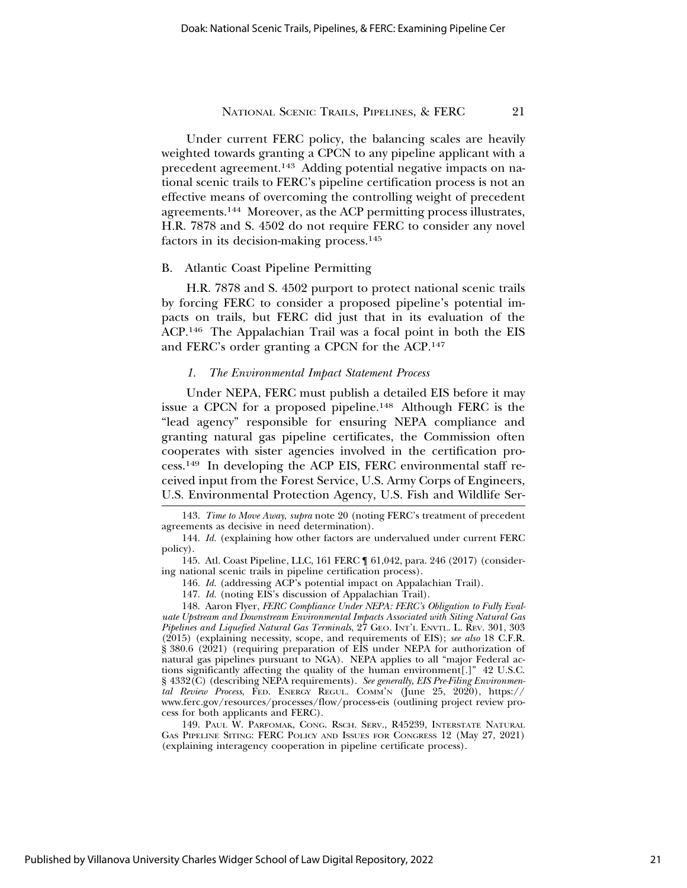Under current FERC policy, the balancing scales are heavily weighted towards granting a CPCN to any pipeline applicant with a precedent agreement.143 Adding potential negative impacts on national scenic trails to FERC's pipeline certification process is not an effective means of overcoming the controlling weight of precedent agreements.144 Moreover, as the ACP permitting process illustrates, H.R. 7878 and S. 4502 do not require FERC to consider any novel factors in its decision-making process.145

# B. Atlantic Coast Pipeline Permitting

H.R. 7878 and S. 4502 purport to protect national scenic trails by forcing FERC to consider a proposed pipeline's potential impacts on trails, but FERC did just that in its evaluation of the ACP.146 The Appalachian Trail was a focal point in both the EIS and FERC's order granting a CPCN for the ACP.147

#### *1. The Environmental Impact Statement Process*

Under NEPA, FERC must publish a detailed EIS before it may issue a CPCN for a proposed pipeline.148 Although FERC is the "lead agency" responsible for ensuring NEPA compliance and granting natural gas pipeline certificates, the Commission often cooperates with sister agencies involved in the certification process.149 In developing the ACP EIS, FERC environmental staff received input from the Forest Service, U.S. Army Corps of Engineers, U.S. Environmental Protection Agency, U.S. Fish and Wildlife Ser-

148. Aaron Flyer, *FERC Compliance Under NEPA: FERC's Obligation to Fully Evaluate Upstream and Downstream Environmental Impacts Associated with Siting Natural Gas Pipelines and Liquefied Natural Gas Terminals*, 27 GEO. INT'L ENVTL. L. REV. 301, 303 (2015) (explaining necessity, scope, and requirements of EIS); *see also* 18 C.F.R. § 380.6 (2021) (requiring preparation of EIS under NEPA for authorization of natural gas pipelines pursuant to NGA). NEPA applies to all "major Federal actions significantly affecting the quality of the human environment[.]" 42 U.S.C. § 4332(C) (describing NEPA requirements). *See generally*, *EIS Pre-Filing Environmental Review Process*, FED. ENERGY REGUL. COMM'N (June 25, 2020), https:// www.ferc.gov/resources/processes/flow/process-eis (outlining project review process for both applicants and FERC).

149. PAUL W. PARFOMAK, CONG. RSCH. SERV., R45239, INTERSTATE NATURAL GAS PIPELINE SITING: FERC POLICY AND ISSUES FOR CONGRESS 12 (May 27, 2021) (explaining interagency cooperation in pipeline certificate process).

<sup>143.</sup> *Time to Move Away*, *supra* note 20 (noting FERC's treatment of precedent agreements as decisive in need determination).

<sup>144.</sup> *Id.* (explaining how other factors are undervalued under current FERC policy).

<sup>145.</sup> Atl. Coast Pipeline, LLC, 161 FERC ¶ 61,042, para. 246 (2017) (considering national scenic trails in pipeline certification process).

<sup>146.</sup> *Id.* (addressing ACP's potential impact on Appalachian Trail).

<sup>147.</sup> *Id.* (noting EIS's discussion of Appalachian Trail).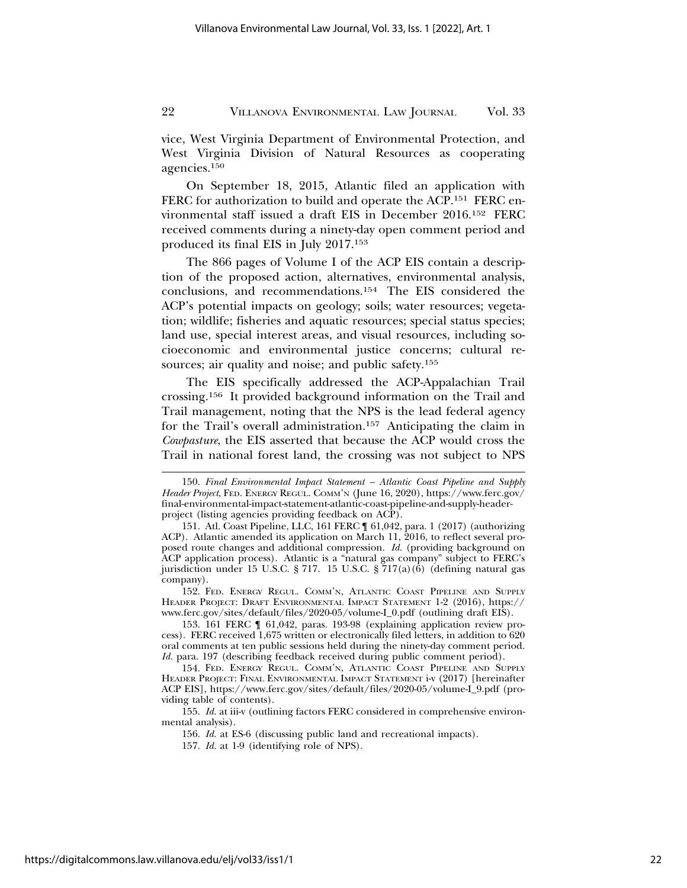vice, West Virginia Department of Environmental Protection, and West Virginia Division of Natural Resources as cooperating agencies.150

On September 18, 2015, Atlantic filed an application with FERC for authorization to build and operate the ACP.<sup>151</sup> FERC environmental staff issued a draft EIS in December 2016.152 FERC received comments during a ninety-day open comment period and produced its final EIS in July 2017.153

The 866 pages of Volume I of the ACP EIS contain a description of the proposed action, alternatives, environmental analysis, conclusions, and recommendations.154 The EIS considered the ACP's potential impacts on geology; soils; water resources; vegetation; wildlife; fisheries and aquatic resources; special status species; land use, special interest areas, and visual resources, including socioeconomic and environmental justice concerns; cultural resources; air quality and noise; and public safety.<sup>155</sup>

The EIS specifically addressed the ACP-Appalachian Trail crossing.156 It provided background information on the Trail and Trail management, noting that the NPS is the lead federal agency for the Trail's overall administration.157 Anticipating the claim in *Cowpasture*, the EIS asserted that because the ACP would cross the Trail in national forest land, the crossing was not subject to NPS

<sup>150.</sup> *Final Environmental Impact Statement – Atlantic Coast Pipeline and Supply Header Project*, FED. ENERGY REGUL. COMM'N (June 16, 2020), https://www.ferc.gov/ final-environmental-impact-statement-atlantic-coast-pipeline-and-supply-headerproject (listing agencies providing feedback on ACP).

<sup>151.</sup> Atl. Coast Pipeline, LLC, 161 FERC ¶ 61,042, para. 1 (2017) (authorizing ACP). Atlantic amended its application on March 11, 2016, to reflect several proposed route changes and additional compression. *Id.* (providing background on ACP application process). Atlantic is a "natural gas company" subject to FERC's jurisdiction under 15 U.S.C. § 717. 15 U.S.C. § 717(a)(6) (defining natural gas company).

<sup>152.</sup> FED. ENERGY REGUL. COMM'N, ATLANTIC COAST PIPELINE AND SUPPLY HEADER PROJECT: DRAFT ENVIRONMENTAL IMPACT STATEMENT 1-2 (2016), https:// www.ferc.gov/sites/default/files/2020-05/volume-I\_0.pdf (outlining draft EIS).

<sup>153. 161</sup> FERC ¶ 61,042, paras. 193-98 (explaining application review process). FERC received 1,675 written or electronically filed letters, in addition to 620 oral comments at ten public sessions held during the ninety-day comment period. *Id.* para. 197 (describing feedback received during public comment period).

<sup>154.</sup> FED. ENERGY REGUL. COMM'N, ATLANTIC COAST PIPELINE AND SUPPLY HEADER PROJECT: FINAL ENVIRONMENTAL IMPACT STATEMENT i-v (2017) [hereinafter ACP EIS], https://www.ferc.gov/sites/default/files/2020-05/volume-I\_9.pdf (providing table of contents).

<sup>155.</sup> *Id.* at iii-v (outlining factors FERC considered in comprehensive environmental analysis).

<sup>156.</sup> *Id.* at ES-6 (discussing public land and recreational impacts).

<sup>157.</sup> *Id.* at 1-9 (identifying role of NPS).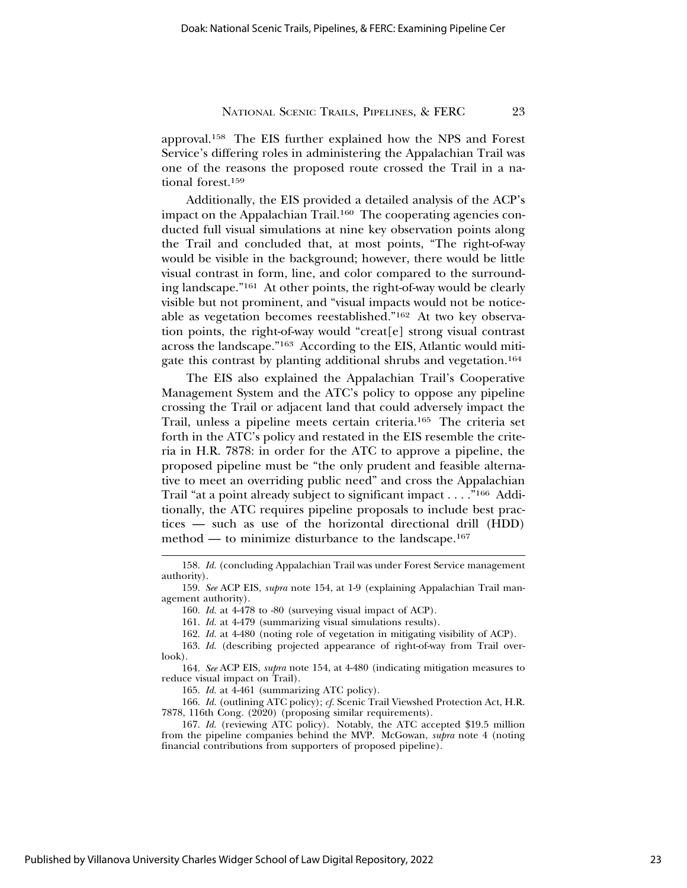approval.158 The EIS further explained how the NPS and Forest Service's differing roles in administering the Appalachian Trail was one of the reasons the proposed route crossed the Trail in a national forest.159

Additionally, the EIS provided a detailed analysis of the ACP's impact on the Appalachian Trail.<sup>160</sup> The cooperating agencies conducted full visual simulations at nine key observation points along the Trail and concluded that, at most points, "The right-of-way would be visible in the background; however, there would be little visual contrast in form, line, and color compared to the surrounding landscape."161 At other points, the right-of-way would be clearly visible but not prominent, and "visual impacts would not be noticeable as vegetation becomes reestablished."162 At two key observation points, the right-of-way would "creat[e] strong visual contrast across the landscape."163 According to the EIS, Atlantic would mitigate this contrast by planting additional shrubs and vegetation.164

The EIS also explained the Appalachian Trail's Cooperative Management System and the ATC's policy to oppose any pipeline crossing the Trail or adjacent land that could adversely impact the Trail, unless a pipeline meets certain criteria.165 The criteria set forth in the ATC's policy and restated in the EIS resemble the criteria in H.R. 7878: in order for the ATC to approve a pipeline, the proposed pipeline must be "the only prudent and feasible alternative to meet an overriding public need" and cross the Appalachian Trail "at a point already subject to significant impact . . . ."166 Additionally, the ATC requires pipeline proposals to include best practices — such as use of the horizontal directional drill (HDD) method — to minimize disturbance to the landscape.<sup>167</sup>

160. *Id.* at 4-478 to -80 (surveying visual impact of ACP).

161. *Id.* at 4-479 (summarizing visual simulations results).

162. *Id.* at 4-480 (noting role of vegetation in mitigating visibility of ACP).

163. *Id.* (describing projected appearance of right-of-way from Trail overlook).

164. *See* ACP EIS, *supra* note 154, at 4-480 (indicating mitigation measures to reduce visual impact on Trail).

165. *Id.* at 4-461 (summarizing ATC policy).

166. *Id.* (outlining ATC policy); *cf.* Scenic Trail Viewshed Protection Act, H.R. 7878, 116th Cong. (2020) (proposing similar requirements).

167. *Id.* (reviewing ATC policy). Notably, the ATC accepted \$19.5 million from the pipeline companies behind the MVP. McGowan, *supra* note 4 (noting financial contributions from supporters of proposed pipeline).

<sup>158.</sup> *Id.* (concluding Appalachian Trail was under Forest Service management authority).

<sup>159.</sup> *See* ACP EIS, *supra* note 154, at 1-9 (explaining Appalachian Trail management authority).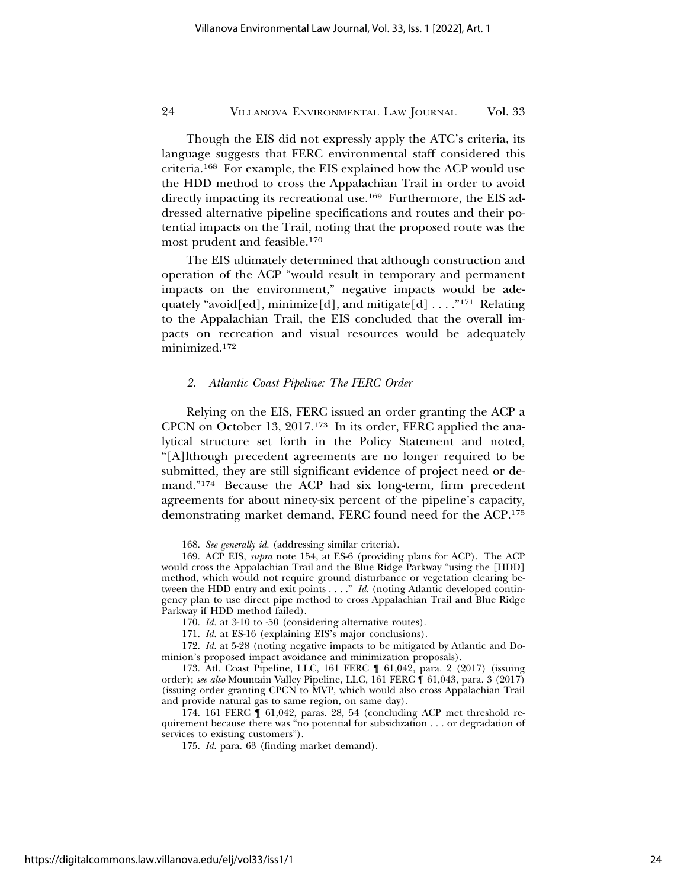Though the EIS did not expressly apply the ATC's criteria, its language suggests that FERC environmental staff considered this criteria.168 For example, the EIS explained how the ACP would use the HDD method to cross the Appalachian Trail in order to avoid directly impacting its recreational use.169 Furthermore, the EIS addressed alternative pipeline specifications and routes and their potential impacts on the Trail, noting that the proposed route was the most prudent and feasible.170

The EIS ultimately determined that although construction and operation of the ACP "would result in temporary and permanent impacts on the environment," negative impacts would be adequately "avoid[ed], minimize[d], and mitigate[d]  $\dots$ ."<sup>171</sup> Relating to the Appalachian Trail, the EIS concluded that the overall impacts on recreation and visual resources would be adequately minimized.172

#### *2. Atlantic Coast Pipeline: The FERC Order*

Relying on the EIS, FERC issued an order granting the ACP a CPCN on October 13, 2017.173 In its order, FERC applied the analytical structure set forth in the Policy Statement and noted, "[A]lthough precedent agreements are no longer required to be submitted, they are still significant evidence of project need or demand."174 Because the ACP had six long-term, firm precedent agreements for about ninety-six percent of the pipeline's capacity, demonstrating market demand, FERC found need for the ACP.175

<sup>168.</sup> *See generally id.* (addressing similar criteria).

<sup>169.</sup> ACP EIS, *supra* note 154, at ES-6 (providing plans for ACP). The ACP would cross the Appalachian Trail and the Blue Ridge Parkway "using the [HDD] method, which would not require ground disturbance or vegetation clearing between the HDD entry and exit points . . . ." *Id.* (noting Atlantic developed contingency plan to use direct pipe method to cross Appalachian Trail and Blue Ridge Parkway if HDD method failed).

<sup>170.</sup> *Id.* at 3-10 to -50 (considering alternative routes).

<sup>171.</sup> *Id.* at ES-16 (explaining EIS's major conclusions).

<sup>172.</sup> *Id.* at 5-28 (noting negative impacts to be mitigated by Atlantic and Dominion's proposed impact avoidance and minimization proposals).

<sup>173.</sup> Atl. Coast Pipeline, LLC, 161 FERC ¶ 61,042, para. 2 (2017) (issuing order); *see also* Mountain Valley Pipeline, LLC, 161 FERC ¶ 61,043, para. 3 (2017) (issuing order granting CPCN to MVP, which would also cross Appalachian Trail and provide natural gas to same region, on same day).

<sup>174. 161</sup> FERC ¶ 61,042, paras. 28, 54 (concluding ACP met threshold requirement because there was "no potential for subsidization . . . or degradation of services to existing customers").

<sup>175.</sup> *Id.* para. 63 (finding market demand).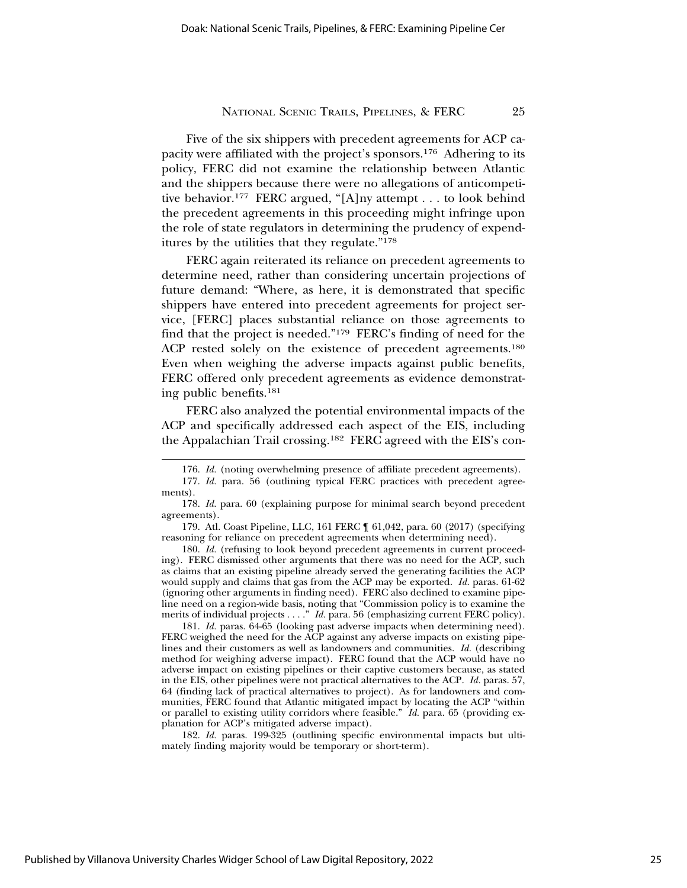Five of the six shippers with precedent agreements for ACP capacity were affiliated with the project's sponsors.176 Adhering to its policy, FERC did not examine the relationship between Atlantic and the shippers because there were no allegations of anticompetitive behavior.177 FERC argued, "[A]ny attempt . . . to look behind the precedent agreements in this proceeding might infringe upon the role of state regulators in determining the prudency of expenditures by the utilities that they regulate."178

FERC again reiterated its reliance on precedent agreements to determine need, rather than considering uncertain projections of future demand: "Where, as here, it is demonstrated that specific shippers have entered into precedent agreements for project service, [FERC] places substantial reliance on those agreements to find that the project is needed."179 FERC's finding of need for the ACP rested solely on the existence of precedent agreements.<sup>180</sup> Even when weighing the adverse impacts against public benefits, FERC offered only precedent agreements as evidence demonstrating public benefits.181

FERC also analyzed the potential environmental impacts of the ACP and specifically addressed each aspect of the EIS, including the Appalachian Trail crossing.182 FERC agreed with the EIS's con-

182. *Id.* paras. 199-325 (outlining specific environmental impacts but ultimately finding majority would be temporary or short-term).

<sup>176.</sup> *Id.* (noting overwhelming presence of affiliate precedent agreements).

<sup>177.</sup> *Id.* para. 56 (outlining typical FERC practices with precedent agreements).

<sup>178.</sup> *Id.* para. 60 (explaining purpose for minimal search beyond precedent agreements).

<sup>179.</sup> Atl. Coast Pipeline, LLC, 161 FERC ¶ 61,042, para. 60 (2017) (specifying reasoning for reliance on precedent agreements when determining need).

<sup>180.</sup> *Id.* (refusing to look beyond precedent agreements in current proceeding). FERC dismissed other arguments that there was no need for the ACP, such as claims that an existing pipeline already served the generating facilities the ACP would supply and claims that gas from the ACP may be exported. *Id.* paras. 61-62 (ignoring other arguments in finding need). FERC also declined to examine pipeline need on a region-wide basis, noting that "Commission policy is to examine the merits of individual projects . . . ." *Id.* para. 56 (emphasizing current FERC policy).

<sup>181.</sup> *Id.* paras. 64-65 (looking past adverse impacts when determining need). FERC weighed the need for the ACP against any adverse impacts on existing pipelines and their customers as well as landowners and communities. *Id.* (describing method for weighing adverse impact). FERC found that the ACP would have no adverse impact on existing pipelines or their captive customers because, as stated in the EIS, other pipelines were not practical alternatives to the ACP. *Id.* paras. 57, 64 (finding lack of practical alternatives to project). As for landowners and communities, FERC found that Atlantic mitigated impact by locating the ACP "within or parallel to existing utility corridors where feasible." *Id.* para. 65 (providing explanation for ACP's mitigated adverse impact).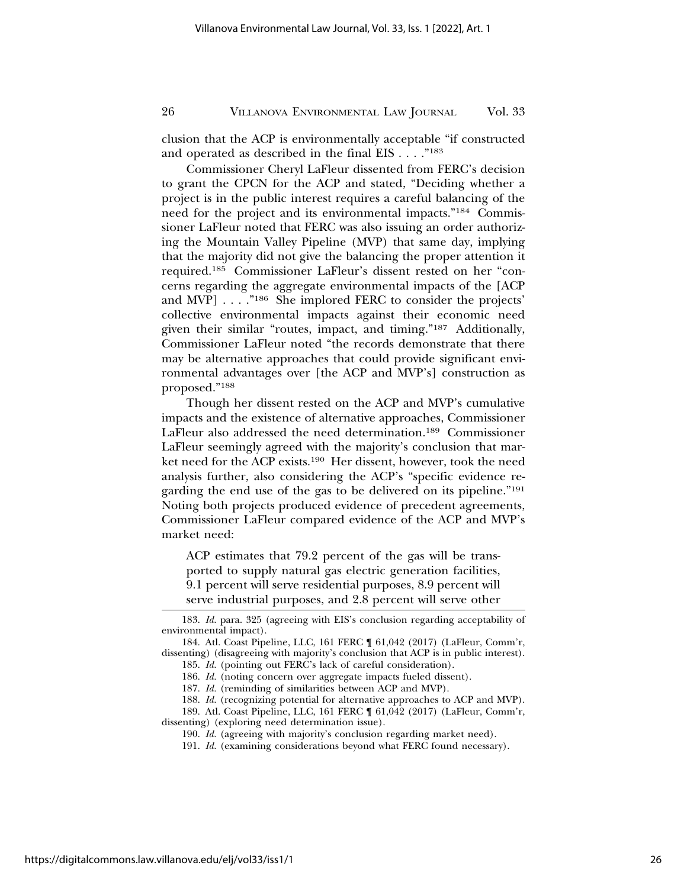clusion that the ACP is environmentally acceptable "if constructed and operated as described in the final EIS . . . ."183

Commissioner Cheryl LaFleur dissented from FERC's decision to grant the CPCN for the ACP and stated, "Deciding whether a project is in the public interest requires a careful balancing of the need for the project and its environmental impacts."184 Commissioner LaFleur noted that FERC was also issuing an order authorizing the Mountain Valley Pipeline (MVP) that same day, implying that the majority did not give the balancing the proper attention it required.185 Commissioner LaFleur's dissent rested on her "concerns regarding the aggregate environmental impacts of the [ACP and MVP] . . . ."186 She implored FERC to consider the projects' collective environmental impacts against their economic need given their similar "routes, impact, and timing."187 Additionally, Commissioner LaFleur noted "the records demonstrate that there may be alternative approaches that could provide significant environmental advantages over [the ACP and MVP's] construction as proposed."188

Though her dissent rested on the ACP and MVP's cumulative impacts and the existence of alternative approaches, Commissioner LaFleur also addressed the need determination.189 Commissioner LaFleur seemingly agreed with the majority's conclusion that market need for the ACP exists.190 Her dissent, however, took the need analysis further, also considering the ACP's "specific evidence regarding the end use of the gas to be delivered on its pipeline."191 Noting both projects produced evidence of precedent agreements, Commissioner LaFleur compared evidence of the ACP and MVP's market need:

ACP estimates that 79.2 percent of the gas will be transported to supply natural gas electric generation facilities, 9.1 percent will serve residential purposes, 8.9 percent will serve industrial purposes, and 2.8 percent will serve other

<sup>183.</sup> *Id.* para. 325 (agreeing with EIS's conclusion regarding acceptability of environmental impact).

<sup>184.</sup> Atl. Coast Pipeline, LLC, 161 FERC ¶ 61,042 (2017) (LaFleur, Comm'r, dissenting) (disagreeing with majority's conclusion that ACP is in public interest).

<sup>185.</sup> *Id.* (pointing out FERC's lack of careful consideration).

<sup>186.</sup> *Id.* (noting concern over aggregate impacts fueled dissent).

<sup>187.</sup> *Id.* (reminding of similarities between ACP and MVP).

<sup>188.</sup> *Id.* (recognizing potential for alternative approaches to ACP and MVP). 189. Atl. Coast Pipeline, LLC, 161 FERC ¶ 61,042 (2017) (LaFleur, Comm'r, dissenting) (exploring need determination issue).

<sup>190.</sup> *Id.* (agreeing with majority's conclusion regarding market need).

<sup>191.</sup> *Id.* (examining considerations beyond what FERC found necessary).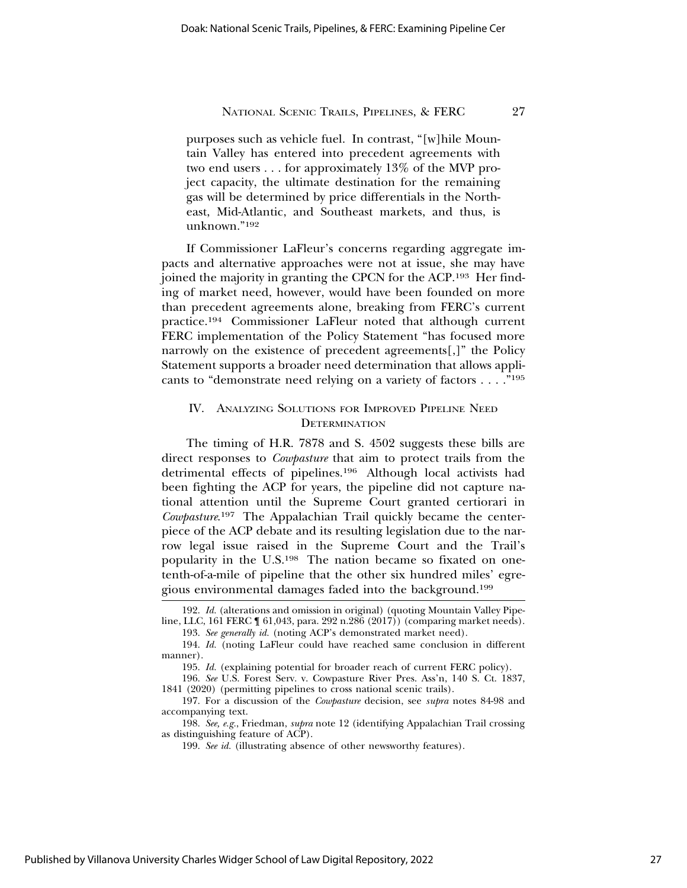purposes such as vehicle fuel. In contrast, "[w]hile Mountain Valley has entered into precedent agreements with two end users . . . for approximately 13% of the MVP project capacity, the ultimate destination for the remaining gas will be determined by price differentials in the Northeast, Mid-Atlantic, and Southeast markets, and thus, is unknown."192

If Commissioner LaFleur's concerns regarding aggregate impacts and alternative approaches were not at issue, she may have joined the majority in granting the CPCN for the ACP.193 Her finding of market need, however, would have been founded on more than precedent agreements alone, breaking from FERC's current practice.194 Commissioner LaFleur noted that although current FERC implementation of the Policy Statement "has focused more narrowly on the existence of precedent agreements[,]" the Policy Statement supports a broader need determination that allows applicants to "demonstrate need relying on a variety of factors . . . ."195

# IV. ANALYZING SOLUTIONS FOR IMPROVED PIPELINE NEED **DETERMINATION**

The timing of H.R. 7878 and S. 4502 suggests these bills are direct responses to *Cowpasture* that aim to protect trails from the detrimental effects of pipelines.196 Although local activists had been fighting the ACP for years, the pipeline did not capture national attention until the Supreme Court granted certiorari in *Cowpasture*. 197 The Appalachian Trail quickly became the centerpiece of the ACP debate and its resulting legislation due to the narrow legal issue raised in the Supreme Court and the Trail's popularity in the U.S.198 The nation became so fixated on onetenth-of-a-mile of pipeline that the other six hundred miles' egregious environmental damages faded into the background.199

<sup>192.</sup> *Id.* (alterations and omission in original) (quoting Mountain Valley Pipeline, LLC, 161 FERC ¶ 61,043, para. 292 n.286 (2017)) (comparing market needs).

<sup>193.</sup> *See generally id.* (noting ACP's demonstrated market need).

<sup>194.</sup> *Id.* (noting LaFleur could have reached same conclusion in different manner).

<sup>195.</sup> *Id.* (explaining potential for broader reach of current FERC policy).

<sup>196.</sup> *See* U.S. Forest Serv. v. Cowpasture River Pres. Ass'n, 140 S. Ct. 1837, 1841 (2020) (permitting pipelines to cross national scenic trails).

<sup>197.</sup> For a discussion of the *Cowpasture* decision, see *supra* notes 84-98 and accompanying text.

<sup>198.</sup> *See, e.g.*, Friedman, *supra* note 12 (identifying Appalachian Trail crossing as distinguishing feature of ACP).

<sup>199.</sup> *See id.* (illustrating absence of other newsworthy features).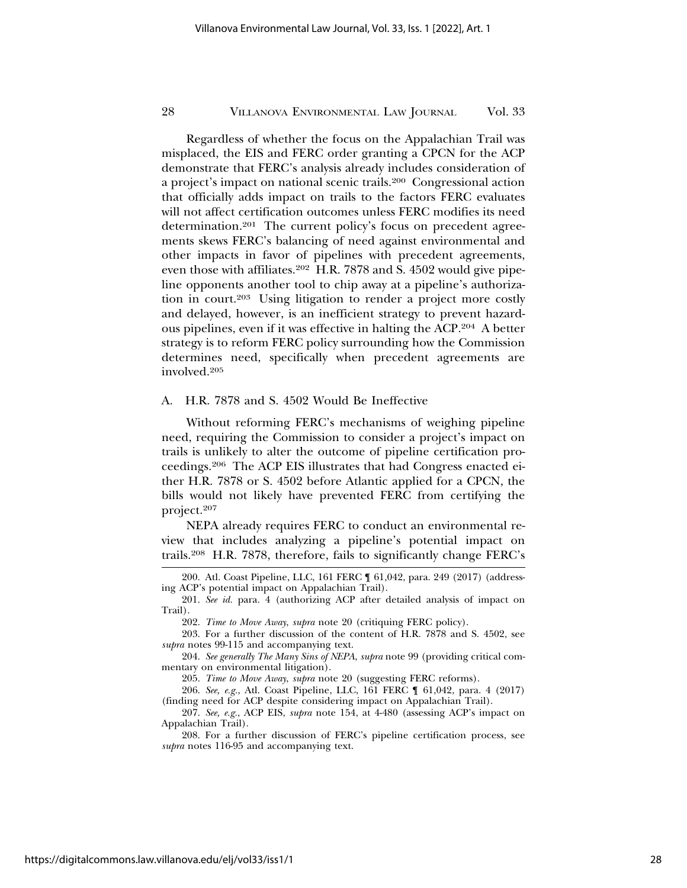Regardless of whether the focus on the Appalachian Trail was misplaced, the EIS and FERC order granting a CPCN for the ACP demonstrate that FERC's analysis already includes consideration of a project's impact on national scenic trails.200 Congressional action that officially adds impact on trails to the factors FERC evaluates will not affect certification outcomes unless FERC modifies its need determination.201 The current policy's focus on precedent agreements skews FERC's balancing of need against environmental and other impacts in favor of pipelines with precedent agreements, even those with affiliates.<sup>202</sup> H.R. 7878 and S. 4502 would give pipeline opponents another tool to chip away at a pipeline's authorization in court.203 Using litigation to render a project more costly and delayed, however, is an inefficient strategy to prevent hazardous pipelines, even if it was effective in halting the ACP.204 A better strategy is to reform FERC policy surrounding how the Commission determines need, specifically when precedent agreements are involved.205

# A. H.R. 7878 and S. 4502 Would Be Ineffective

Without reforming FERC's mechanisms of weighing pipeline need, requiring the Commission to consider a project's impact on trails is unlikely to alter the outcome of pipeline certification proceedings.206 The ACP EIS illustrates that had Congress enacted either H.R. 7878 or S. 4502 before Atlantic applied for a CPCN, the bills would not likely have prevented FERC from certifying the project.207

NEPA already requires FERC to conduct an environmental review that includes analyzing a pipeline's potential impact on trails.208 H.R. 7878, therefore, fails to significantly change FERC's

205. *Time to Move Away*, *supra* note 20 (suggesting FERC reforms).

206. *See, e.g.*, Atl. Coast Pipeline, LLC, 161 FERC ¶ 61,042, para. 4 (2017) (finding need for ACP despite considering impact on Appalachian Trail).

207. *See, e.g.*, ACP EIS, *supra* note 154, at 4-480 (assessing ACP's impact on Appalachian Trail).

208. For a further discussion of FERC's pipeline certification process, see *supra* notes 116-95 and accompanying text.

<sup>200.</sup> Atl. Coast Pipeline, LLC, 161 FERC ¶ 61,042, para. 249 (2017) (addressing ACP's potential impact on Appalachian Trail).

<sup>201.</sup> *See id.* para. 4 (authorizing ACP after detailed analysis of impact on Trail).

<sup>202.</sup> *Time to Move Away*, *supra* note 20 (critiquing FERC policy).

<sup>203.</sup> For a further discussion of the content of H.R. 7878 and S. 4502, see *supra* notes 99-115 and accompanying text.

<sup>204.</sup> *See generally The Many Sins of NEPA*, *supra* note 99 (providing critical commentary on environmental litigation).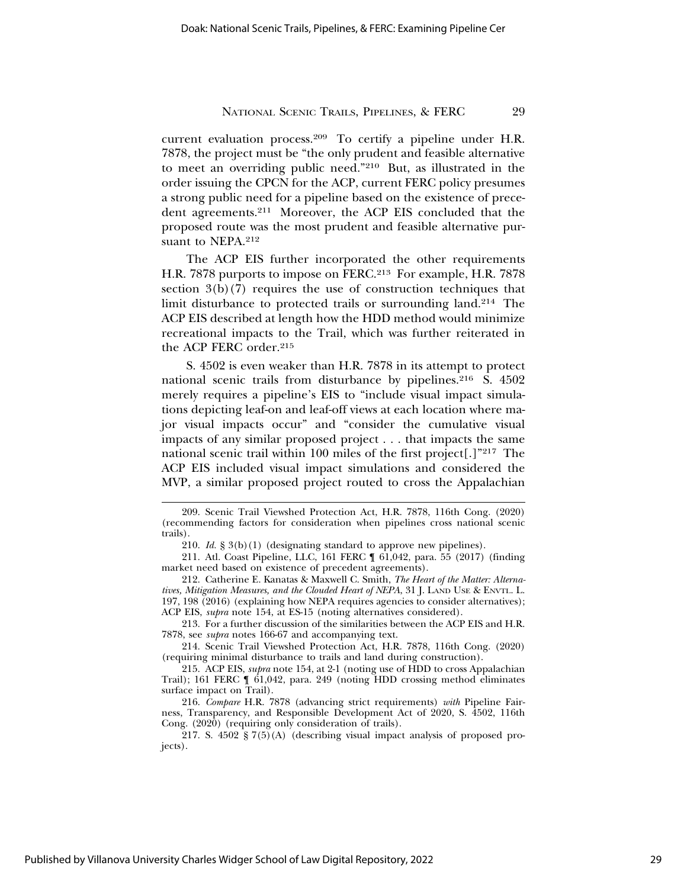current evaluation process.209 To certify a pipeline under H.R. 7878, the project must be "the only prudent and feasible alternative to meet an overriding public need."210 But, as illustrated in the order issuing the CPCN for the ACP, current FERC policy presumes a strong public need for a pipeline based on the existence of precedent agreements.211 Moreover, the ACP EIS concluded that the proposed route was the most prudent and feasible alternative pursuant to NEPA.<sup>212</sup>

The ACP EIS further incorporated the other requirements H.R. 7878 purports to impose on FERC.213 For example, H.R. 7878 section  $3(b)(7)$  requires the use of construction techniques that limit disturbance to protected trails or surrounding land.214 The ACP EIS described at length how the HDD method would minimize recreational impacts to the Trail, which was further reiterated in the ACP FERC order.215

S. 4502 is even weaker than H.R. 7878 in its attempt to protect national scenic trails from disturbance by pipelines.216 S. 4502 merely requires a pipeline's EIS to "include visual impact simulations depicting leaf-on and leaf-off views at each location where major visual impacts occur" and "consider the cumulative visual impacts of any similar proposed project . . . that impacts the same national scenic trail within 100 miles of the first project[.]"217 The ACP EIS included visual impact simulations and considered the MVP, a similar proposed project routed to cross the Appalachian

213. For a further discussion of the similarities between the ACP EIS and H.R. 7878, see *supra* notes 166-67 and accompanying text.

214. Scenic Trail Viewshed Protection Act, H.R. 7878, 116th Cong. (2020) (requiring minimal disturbance to trails and land during construction).

215. ACP EIS, *supra* note 154, at 2-1 (noting use of HDD to cross Appalachian Trail); 161 FERC ¶ 61,042, para. 249 (noting HDD crossing method eliminates surface impact on Trail).

216. *Compare* H.R. 7878 (advancing strict requirements) *with* Pipeline Fairness, Transparency, and Responsible Development Act of 2020, S. 4502, 116th Cong. (2020) (requiring only consideration of trails).

217. S. 4502 § 7(5)(A) (describing visual impact analysis of proposed projects).

<sup>209.</sup> Scenic Trail Viewshed Protection Act, H.R. 7878, 116th Cong. (2020) (recommending factors for consideration when pipelines cross national scenic trails).

<sup>210.</sup> *Id.* § 3(b)(1) (designating standard to approve new pipelines).

<sup>211.</sup> Atl. Coast Pipeline, LLC, 161 FERC ¶ 61,042, para. 55 (2017) (finding market need based on existence of precedent agreements).

<sup>212.</sup> Catherine E. Kanatas & Maxwell C. Smith, *The Heart of the Matter: Alternatives, Mitigation Measures, and the Clouded Heart of NEPA*, 31 J. LAND USE & ENVTL. L. 197, 198 (2016) (explaining how NEPA requires agencies to consider alternatives); ACP EIS, *supra* note 154, at ES-15 (noting alternatives considered).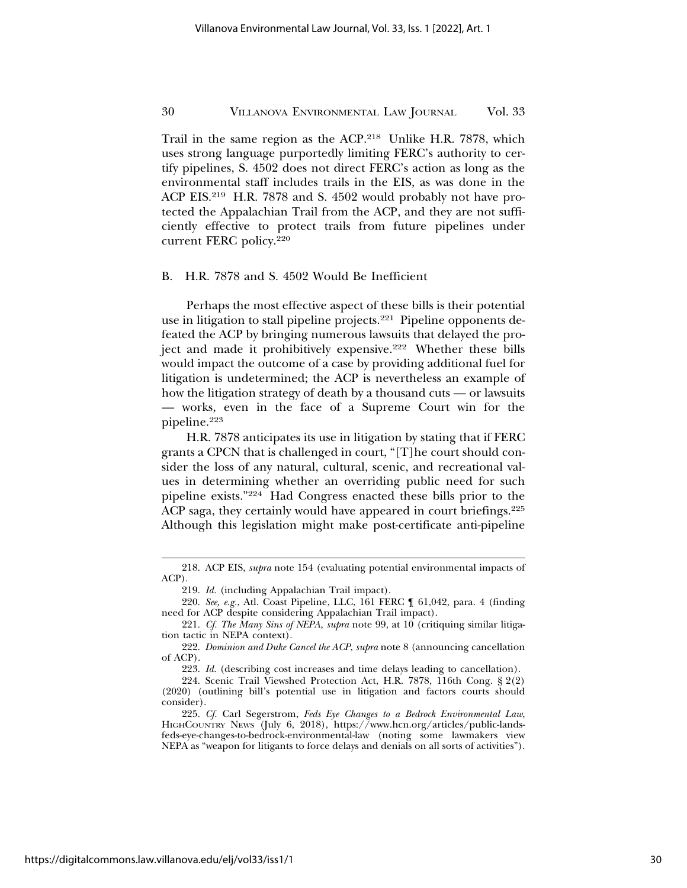Trail in the same region as the ACP.218 Unlike H.R. 7878, which uses strong language purportedly limiting FERC's authority to certify pipelines, S. 4502 does not direct FERC's action as long as the environmental staff includes trails in the EIS, as was done in the ACP EIS.219 H.R. 7878 and S. 4502 would probably not have protected the Appalachian Trail from the ACP, and they are not sufficiently effective to protect trails from future pipelines under current FERC policy.220

### B. H.R. 7878 and S. 4502 Would Be Inefficient

Perhaps the most effective aspect of these bills is their potential use in litigation to stall pipeline projects.<sup>221</sup> Pipeline opponents defeated the ACP by bringing numerous lawsuits that delayed the project and made it prohibitively expensive.<sup>222</sup> Whether these bills would impact the outcome of a case by providing additional fuel for litigation is undetermined; the ACP is nevertheless an example of how the litigation strategy of death by a thousand cuts — or lawsuits — works, even in the face of a Supreme Court win for the pipeline.223

H.R. 7878 anticipates its use in litigation by stating that if FERC grants a CPCN that is challenged in court, "[T]he court should consider the loss of any natural, cultural, scenic, and recreational values in determining whether an overriding public need for such pipeline exists."224 Had Congress enacted these bills prior to the ACP saga, they certainly would have appeared in court briefings.<sup>225</sup> Although this legislation might make post-certificate anti-pipeline

<sup>218.</sup> ACP EIS, *supra* note 154 (evaluating potential environmental impacts of ACP).

<sup>219.</sup> *Id.* (including Appalachian Trail impact).

<sup>220.</sup> *See, e.g.*, Atl. Coast Pipeline, LLC, 161 FERC ¶ 61,042, para. 4 (finding need for ACP despite considering Appalachian Trail impact).

<sup>221.</sup> *Cf. The Many Sins of NEPA*, *supra* note 99, at 10 (critiquing similar litigation tactic in NEPA context).

<sup>222.</sup> *Dominion and Duke Cancel the ACP*, *supra* note 8 (announcing cancellation of ACP).

<sup>223.</sup> *Id.* (describing cost increases and time delays leading to cancellation).

<sup>224.</sup> Scenic Trail Viewshed Protection Act, H.R. 7878, 116th Cong. § 2(2) (2020) (outlining bill's potential use in litigation and factors courts should consider).

<sup>225.</sup> *Cf.* Carl Segerstrom, *Feds Eye Changes to a Bedrock Environmental Law*, HIGHCOUNTRY NEWS (July 6, 2018), https://www.hcn.org/articles/public-landsfeds-eye-changes-to-bedrock-environmental-law (noting some lawmakers view NEPA as "weapon for litigants to force delays and denials on all sorts of activities").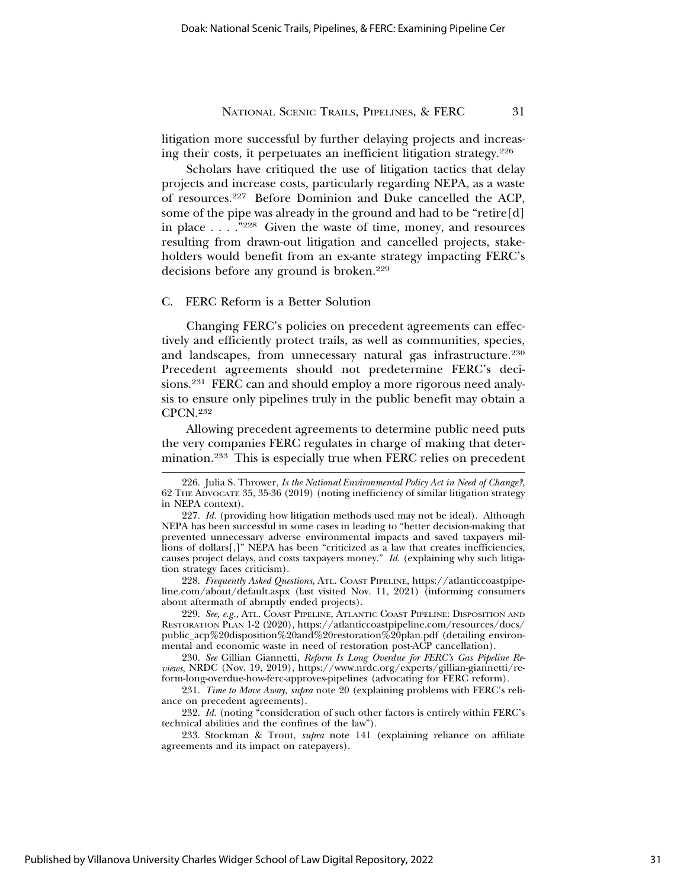litigation more successful by further delaying projects and increasing their costs, it perpetuates an inefficient litigation strategy.226

Scholars have critiqued the use of litigation tactics that delay projects and increase costs, particularly regarding NEPA, as a waste of resources.227 Before Dominion and Duke cancelled the ACP, some of the pipe was already in the ground and had to be "retire[d] in place . . . ."228 Given the waste of time, money, and resources resulting from drawn-out litigation and cancelled projects, stakeholders would benefit from an ex-ante strategy impacting FERC's decisions before any ground is broken.<sup>229</sup>

# C. FERC Reform is a Better Solution

Changing FERC's policies on precedent agreements can effectively and efficiently protect trails, as well as communities, species, and landscapes, from unnecessary natural gas infrastructure.<sup>230</sup> Precedent agreements should not predetermine FERC's decisions.231 FERC can and should employ a more rigorous need analysis to ensure only pipelines truly in the public benefit may obtain a CPCN.232

Allowing precedent agreements to determine public need puts the very companies FERC regulates in charge of making that determination.233 This is especially true when FERC relies on precedent

228. *Frequently Asked Questions*, ATL. COAST PIPELINE, https://atlanticcoastpipeline.com/about/default.aspx (last visited Nov. 11, 2021) (informing consumers about aftermath of abruptly ended projects).

229. *See, e.g.*, ATL. COAST PIPELINE, ATLANTIC COAST PIPELINE: DISPOSITION AND RESTORATION PLAN 1-2 (2020), https://atlanticcoastpipeline.com/resources/docs/ public\_acp%20disposition%20and%20restoration%20plan.pdf (detailing environmental and economic waste in need of restoration post-ACP cancellation).

230. *See* Gillian Giannetti, *Reform Is Long Overdue for FERC's Gas Pipeline Reviews*, NRDC (Nov. 19, 2019), https://www.nrdc.org/experts/gillian-giannetti/reform-long-overdue-how-ferc-approves-pipelines (advocating for FERC reform).

231. *Time to Move Away*, *supra* note 20 (explaining problems with FERC's reliance on precedent agreements).

232. *Id.* (noting "consideration of such other factors is entirely within FERC's technical abilities and the confines of the law").

233. Stockman & Trout, *supra* note 141 (explaining reliance on affiliate agreements and its impact on ratepayers).

<sup>226.</sup> Julia S. Thrower, *Is the National Environmental Policy Act in Need of Change?*, 62 THE ADVOCATE 35, 35-36 (2019) (noting inefficiency of similar litigation strategy in NEPA context).

<sup>227.</sup> *Id.* (providing how litigation methods used may not be ideal). Although NEPA has been successful in some cases in leading to "better decision-making that prevented unnecessary adverse environmental impacts and saved taxpayers millions of dollars $[$ ,]" NEPA has been "criticized as a law that creates inefficiencies, causes project delays, and costs taxpayers money." *Id.* (explaining why such litigation strategy faces criticism).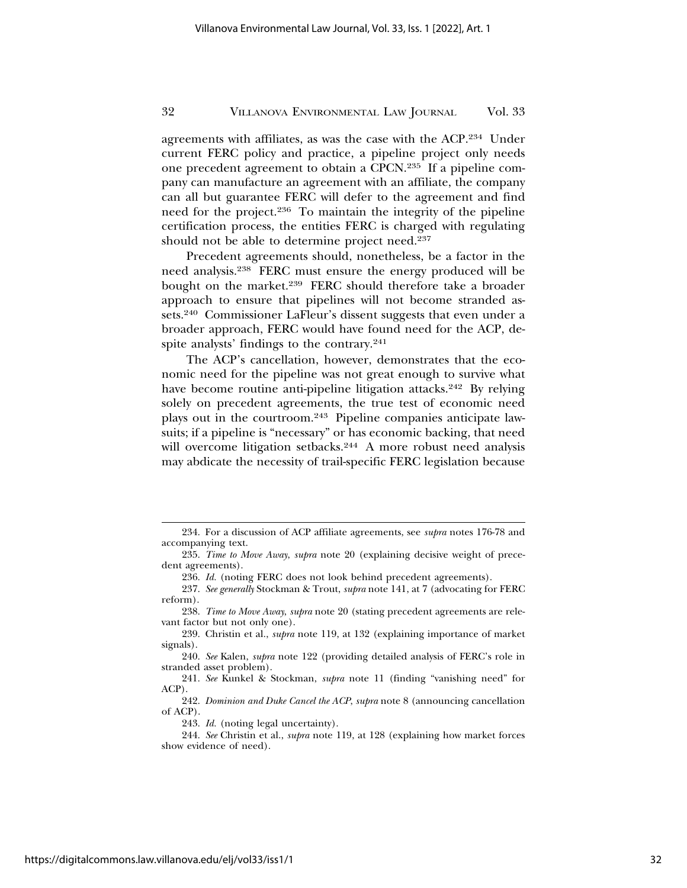agreements with affiliates, as was the case with the ACP.234 Under current FERC policy and practice, a pipeline project only needs one precedent agreement to obtain a CPCN.235 If a pipeline company can manufacture an agreement with an affiliate, the company can all but guarantee FERC will defer to the agreement and find need for the project.236 To maintain the integrity of the pipeline certification process, the entities FERC is charged with regulating should not be able to determine project need.237

Precedent agreements should, nonetheless, be a factor in the need analysis.238 FERC must ensure the energy produced will be bought on the market.239 FERC should therefore take a broader approach to ensure that pipelines will not become stranded assets.240 Commissioner LaFleur's dissent suggests that even under a broader approach, FERC would have found need for the ACP, despite analysts' findings to the contrary.<sup>241</sup>

The ACP's cancellation, however, demonstrates that the economic need for the pipeline was not great enough to survive what have become routine anti-pipeline litigation attacks.<sup>242</sup> By relying solely on precedent agreements, the true test of economic need plays out in the courtroom.243 Pipeline companies anticipate lawsuits; if a pipeline is "necessary" or has economic backing, that need will overcome litigation setbacks.<sup>244</sup> A more robust need analysis may abdicate the necessity of trail-specific FERC legislation because

<sup>234.</sup> For a discussion of ACP affiliate agreements, see *supra* notes 176-78 and accompanying text.

<sup>235.</sup> *Time to Move Away*, *supra* note 20 (explaining decisive weight of precedent agreements).

<sup>236.</sup> *Id.* (noting FERC does not look behind precedent agreements).

<sup>237.</sup> *See generally* Stockman & Trout, *supra* note 141, at 7 (advocating for FERC reform).

<sup>238.</sup> *Time to Move Away*, *supra* note 20 (stating precedent agreements are relevant factor but not only one).

<sup>239.</sup> Christin et al., *supra* note 119, at 132 (explaining importance of market signals).

<sup>240.</sup> *See* Kalen, *supra* note 122 (providing detailed analysis of FERC's role in stranded asset problem).

<sup>241.</sup> *See* Kunkel & Stockman, *supra* note 11 (finding "vanishing need" for ACP).

<sup>242.</sup> *Dominion and Duke Cancel the ACP*, *supra* note 8 (announcing cancellation of ACP).

<sup>243.</sup> *Id.* (noting legal uncertainty).

<sup>244.</sup> *See* Christin et al., *supra* note 119, at 128 (explaining how market forces show evidence of need).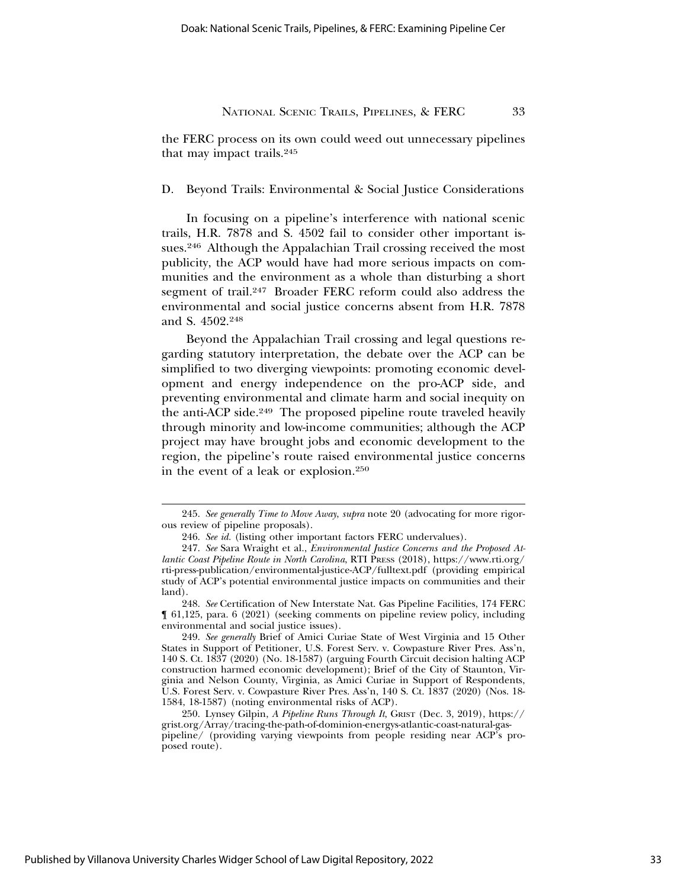the FERC process on its own could weed out unnecessary pipelines that may impact trails.<sup>245</sup>

D. Beyond Trails: Environmental & Social Justice Considerations

In focusing on a pipeline's interference with national scenic trails, H.R. 7878 and S. 4502 fail to consider other important issues.246 Although the Appalachian Trail crossing received the most publicity, the ACP would have had more serious impacts on communities and the environment as a whole than disturbing a short segment of trail.247 Broader FERC reform could also address the environmental and social justice concerns absent from H.R. 7878 and S. 4502.248

Beyond the Appalachian Trail crossing and legal questions regarding statutory interpretation, the debate over the ACP can be simplified to two diverging viewpoints: promoting economic development and energy independence on the pro-ACP side, and preventing environmental and climate harm and social inequity on the anti-ACP side.<sup>249</sup> The proposed pipeline route traveled heavily through minority and low-income communities; although the ACP project may have brought jobs and economic development to the region, the pipeline's route raised environmental justice concerns in the event of a leak or explosion.250

248. *See* Certification of New Interstate Nat. Gas Pipeline Facilities, 174 FERC ¶ 61,125, para. 6 (2021) (seeking comments on pipeline review policy, including environmental and social justice issues).

<sup>245.</sup> *See generally Time to Move Away*, *supra* note 20 (advocating for more rigorous review of pipeline proposals).

<sup>246.</sup> *See id.* (listing other important factors FERC undervalues).

<sup>247.</sup> *See* Sara Wraight et al., *Environmental Justice Concerns and the Proposed Atlantic Coast Pipeline Route in North Carolina*, RTI PRESS (2018), https://www.rti.org/ rti-press-publication/environmental-justice-ACP/fulltext.pdf (providing empirical study of ACP's potential environmental justice impacts on communities and their land).

<sup>249.</sup> *See generally* Brief of Amici Curiae State of West Virginia and 15 Other States in Support of Petitioner, U.S. Forest Serv. v. Cowpasture River Pres. Ass'n, 140 S. Ct. 1837 (2020) (No. 18-1587) (arguing Fourth Circuit decision halting ACP construction harmed economic development); Brief of the City of Staunton, Virginia and Nelson County, Virginia, as Amici Curiae in Support of Respondents, U.S. Forest Serv. v. Cowpasture River Pres. Ass'n, 140 S. Ct. 1837 (2020) (Nos. 18- 1584, 18-1587) (noting environmental risks of ACP).

<sup>250.</sup> Lynsey Gilpin, *A Pipeline Runs Through It*, GRIST (Dec. 3, 2019), https:// grist.org/Array/tracing-the-path-of-dominion-energys-atlantic-coast-natural-gaspipeline/ (providing varying viewpoints from people residing near ACP's proposed route).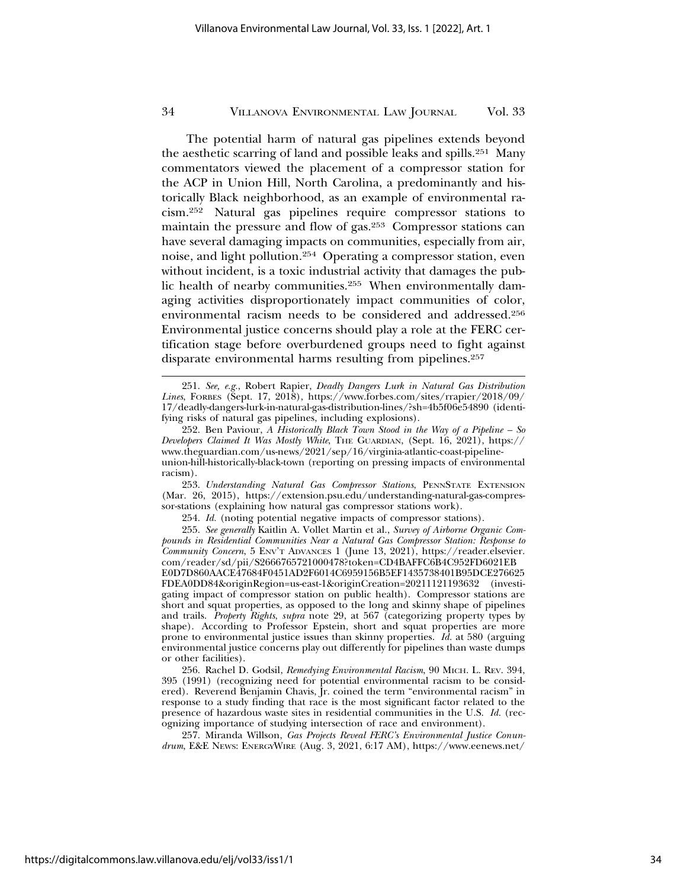The potential harm of natural gas pipelines extends beyond the aesthetic scarring of land and possible leaks and spills.251 Many commentators viewed the placement of a compressor station for the ACP in Union Hill, North Carolina, a predominantly and historically Black neighborhood, as an example of environmental racism.252 Natural gas pipelines require compressor stations to maintain the pressure and flow of gas.253 Compressor stations can have several damaging impacts on communities, especially from air, noise, and light pollution.254 Operating a compressor station, even without incident, is a toxic industrial activity that damages the public health of nearby communities.255 When environmentally damaging activities disproportionately impact communities of color, environmental racism needs to be considered and addressed.256 Environmental justice concerns should play a role at the FERC certification stage before overburdened groups need to fight against disparate environmental harms resulting from pipelines.<sup>257</sup>

257. Miranda Willson, *Gas Projects Reveal FERC's Environmental Justice Conundrum*, E&E NEWS: ENERGYWIRE (Aug. 3, 2021, 6:17 AM), https://www.eenews.net/

<sup>251.</sup> *See, e.g.*, Robert Rapier, *Deadly Dangers Lurk in Natural Gas Distribution Lines*, FORBES (Sept. 17, 2018), https://www.forbes.com/sites/rrapier/2018/09/ 17/deadly-dangers-lurk-in-natural-gas-distribution-lines/?sh=4b5f06e54890 (identifying risks of natural gas pipelines, including explosions).

<sup>252.</sup> Ben Paviour, *A Historically Black Town Stood in the Way of a Pipeline – So Developers Claimed It Was Mostly White*, THE GUARDIAN, (Sept. 16, 2021), https:// www.theguardian.com/us-news/2021/sep/16/virginia-atlantic-coast-pipelineunion-hill-historically-black-town (reporting on pressing impacts of environmental racism).

<sup>253.</sup> *Understanding Natural Gas Compressor Stations*, PENNSTATE EXTENSION (Mar. 26, 2015), https://extension.psu.edu/understanding-natural-gas-compressor-stations (explaining how natural gas compressor stations work).

<sup>254.</sup> *Id.* (noting potential negative impacts of compressor stations).

<sup>255.</sup> *See generally* Kaitlin A. Vollet Martin et al., *Survey of Airborne Organic Compounds in Residential Communities Near a Natural Gas Compressor Station: Response to Community Concern*, 5 ENV'T ADVANCES 1 (June 13, 2021), https://reader.elsevier. com/reader/sd/pii/S2666765721000478?token=CD4BAFFC6B4C952FD6021EB E0D7D860AACE47684F0451AD2F6014C6959156B5EF1435738401B95DCE276625 FDEA0DD84&originRegion=us-east-1&originCreation=20211121193632 (investigating impact of compressor station on public health). Compressor stations are short and squat properties, as opposed to the long and skinny shape of pipelines and trails. *Property Rights*, *supra* note 29, at 567 (categorizing property types by shape). According to Professor Epstein, short and squat properties are more prone to environmental justice issues than skinny properties. *Id.* at 580 (arguing environmental justice concerns play out differently for pipelines than waste dumps or other facilities).

<sup>256.</sup> Rachel D. Godsil, *Remedying Environmental Racism*, 90 MICH. L. REV. 394, 395 (1991) (recognizing need for potential environmental racism to be considered). Reverend Benjamin Chavis, Jr. coined the term "environmental racism" in response to a study finding that race is the most significant factor related to the presence of hazardous waste sites in residential communities in the U.S. *Id.* (recognizing importance of studying intersection of race and environment).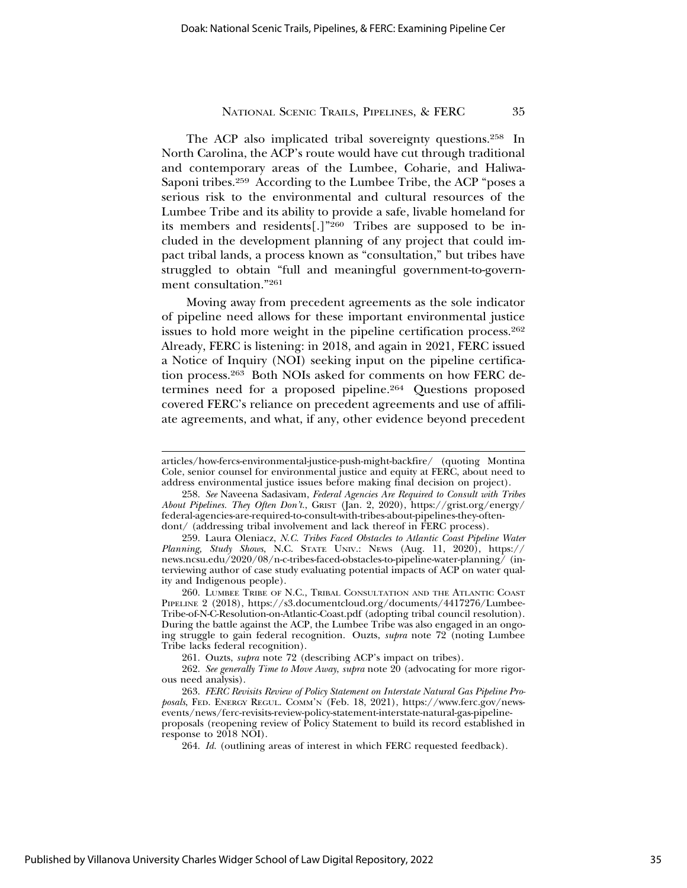The ACP also implicated tribal sovereignty questions.258 In North Carolina, the ACP's route would have cut through traditional and contemporary areas of the Lumbee, Coharie, and Haliwa-Saponi tribes.259 According to the Lumbee Tribe, the ACP "poses a serious risk to the environmental and cultural resources of the Lumbee Tribe and its ability to provide a safe, livable homeland for its members and residents[.]"260 Tribes are supposed to be included in the development planning of any project that could impact tribal lands, a process known as "consultation," but tribes have struggled to obtain "full and meaningful government-to-government consultation."261

Moving away from precedent agreements as the sole indicator of pipeline need allows for these important environmental justice issues to hold more weight in the pipeline certification process.<sup>262</sup> Already, FERC is listening: in 2018, and again in 2021, FERC issued a Notice of Inquiry (NOI) seeking input on the pipeline certification process.263 Both NOIs asked for comments on how FERC determines need for a proposed pipeline.264 Questions proposed covered FERC's reliance on precedent agreements and use of affiliate agreements, and what, if any, other evidence beyond precedent

articles/how-fercs-environmental-justice-push-might-backfire/ (quoting Montina Cole, senior counsel for environmental justice and equity at FERC, about need to address environmental justice issues before making final decision on project).

<sup>258.</sup> *See* Naveena Sadasivam, *Federal Agencies Are Required to Consult with Tribes About Pipelines. They Often Don't.*, GRIST (Jan. 2, 2020), https://grist.org/energy/ federal-agencies-are-required-to-consult-with-tribes-about-pipelines-they-oftendont/ (addressing tribal involvement and lack thereof in FERC process).

<sup>259.</sup> Laura Oleniacz, *N.C. Tribes Faced Obstacles to Atlantic Coast Pipeline Water Planning, Study Shows*, N.C. STATE UNIV.: NEWS (Aug. 11, 2020), https:// news.ncsu.edu/2020/08/n-c-tribes-faced-obstacles-to-pipeline-water-planning/ (interviewing author of case study evaluating potential impacts of ACP on water quality and Indigenous people).

<sup>260.</sup> LUMBEE TRIBE OF N.C., TRIBAL CONSULTATION AND THE ATLANTIC COAST PIPELINE 2 (2018), https://s3.documentcloud.org/documents/4417276/Lumbee-Tribe-of-N-C-Resolution-on-Atlantic-Coast.pdf (adopting tribal council resolution). During the battle against the ACP, the Lumbee Tribe was also engaged in an ongoing struggle to gain federal recognition. Ouzts, *supra* note 72 (noting Lumbee Tribe lacks federal recognition).

<sup>261.</sup> Ouzts, *supra* note 72 (describing ACP's impact on tribes).

<sup>262.</sup> *See generally Time to Move Away*, *supra* note 20 (advocating for more rigorous need analysis).

<sup>263.</sup> *FERC Revisits Review of Policy Statement on Interstate Natural Gas Pipeline Proposals*, FED. ENERGY REGUL. COMM'N (Feb. 18, 2021), https://www.ferc.gov/newsevents/news/ferc-revisits-review-policy-statement-interstate-natural-gas-pipelineproposals (reopening review of Policy Statement to build its record established in response to 2018 NOI).

<sup>264.</sup> *Id.* (outlining areas of interest in which FERC requested feedback).